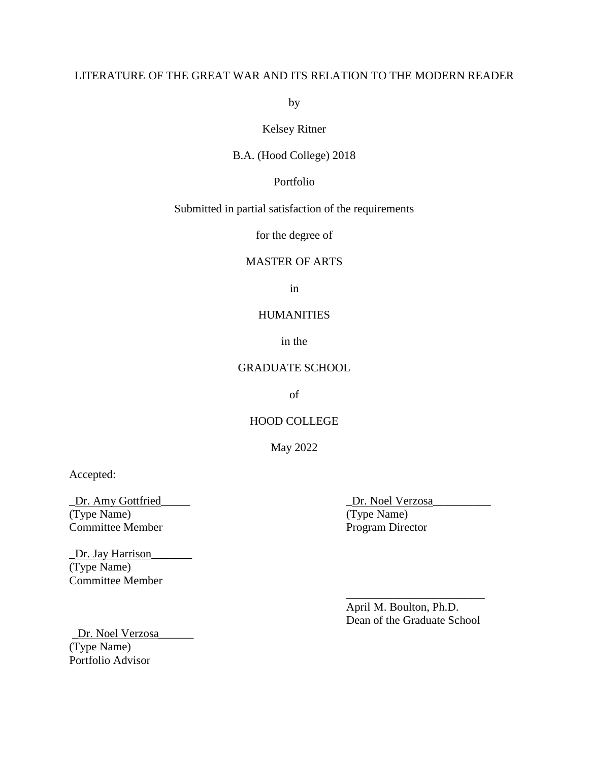# LITERATURE OF THE GREAT WAR AND ITS RELATION TO THE MODERN READER

by

Kelsey Ritner

B.A. (Hood College) 2018

Portfolio

Submitted in partial satisfaction of the requirements

for the degree of

### MASTER OF ARTS

in

### **HUMANITIES**

in the

## GRADUATE SCHOOL

of

### HOOD COLLEGE

May 2022

Accepted:

\_Dr. Amy Gottfried\_\_\_\_\_ \_Dr. Noel Verzosa\_\_\_\_\_\_\_\_\_\_ (Type Name) (Type Name) Committee Member Program Director

**\_**Dr. Jay Harrison**\_\_\_\_\_\_\_**  (Type Name) Committee Member

April M. Boulton, Ph.D. Dean of the Graduate School

\_\_\_\_\_\_\_\_\_\_\_\_\_\_\_\_\_\_\_\_\_\_\_\_

Dr. Noel Verzosa (Type Name) Portfolio Advisor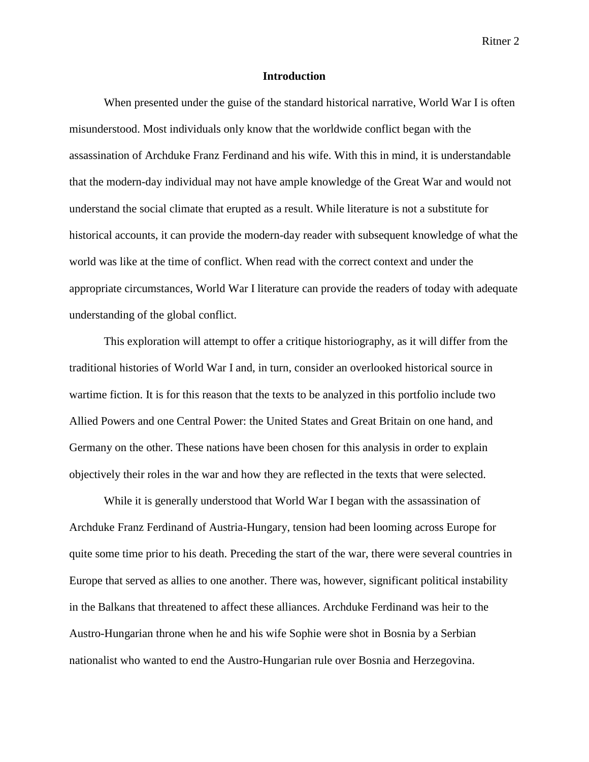### **Introduction**

When presented under the guise of the standard historical narrative, World War I is often misunderstood. Most individuals only know that the worldwide conflict began with the assassination of Archduke Franz Ferdinand and his wife. With this in mind, it is understandable that the modern-day individual may not have ample knowledge of the Great War and would not understand the social climate that erupted as a result. While literature is not a substitute for historical accounts, it can provide the modern-day reader with subsequent knowledge of what the world was like at the time of conflict. When read with the correct context and under the appropriate circumstances, World War I literature can provide the readers of today with adequate understanding of the global conflict.

This exploration will attempt to offer a critique historiography, as it will differ from the traditional histories of World War I and, in turn, consider an overlooked historical source in wartime fiction. It is for this reason that the texts to be analyzed in this portfolio include two Allied Powers and one Central Power: the United States and Great Britain on one hand, and Germany on the other. These nations have been chosen for this analysis in order to explain objectively their roles in the war and how they are reflected in the texts that were selected.

While it is generally understood that World War I began with the assassination of Archduke Franz Ferdinand of Austria-Hungary, tension had been looming across Europe for quite some time prior to his death. Preceding the start of the war, there were several countries in Europe that served as allies to one another. There was, however, significant political instability in the Balkans that threatened to affect these alliances. Archduke Ferdinand was heir to the Austro-Hungarian throne when he and his wife Sophie were shot in Bosnia by a Serbian nationalist who wanted to end the Austro-Hungarian rule over Bosnia and Herzegovina.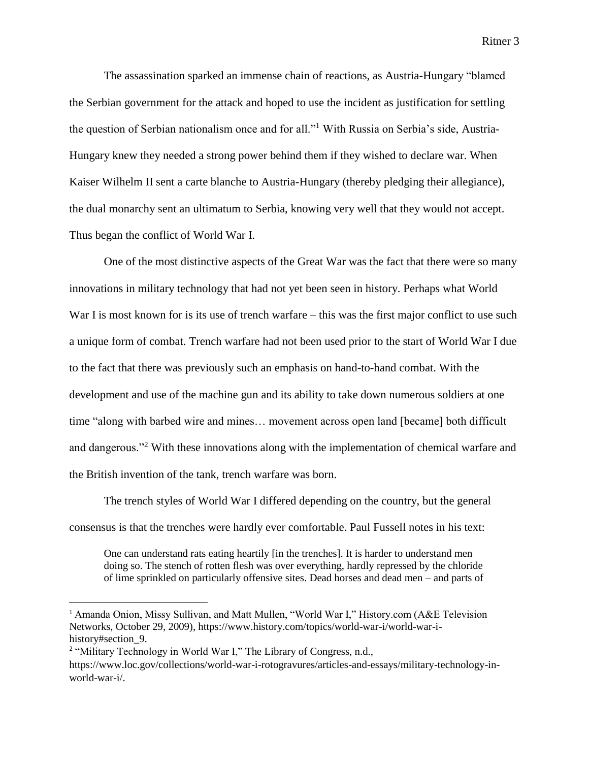The assassination sparked an immense chain of reactions, as Austria-Hungary "blamed the Serbian government for the attack and hoped to use the incident as justification for settling the question of Serbian nationalism once and for all."<sup>1</sup> With Russia on Serbia's side, Austria-Hungary knew they needed a strong power behind them if they wished to declare war. When Kaiser Wilhelm II sent a carte blanche to Austria-Hungary (thereby pledging their allegiance), the dual monarchy sent an ultimatum to Serbia, knowing very well that they would not accept. Thus began the conflict of World War I.

One of the most distinctive aspects of the Great War was the fact that there were so many innovations in military technology that had not yet been seen in history. Perhaps what World War I is most known for is its use of trench warfare – this was the first major conflict to use such a unique form of combat. Trench warfare had not been used prior to the start of World War I due to the fact that there was previously such an emphasis on hand-to-hand combat. With the development and use of the machine gun and its ability to take down numerous soldiers at one time "along with barbed wire and mines… movement across open land [became] both difficult and dangerous."<sup>2</sup> With these innovations along with the implementation of chemical warfare and the British invention of the tank, trench warfare was born.

The trench styles of World War I differed depending on the country, but the general consensus is that the trenches were hardly ever comfortable. Paul Fussell notes in his text:

One can understand rats eating heartily [in the trenches]. It is harder to understand men doing so. The stench of rotten flesh was over everything, hardly repressed by the chloride of lime sprinkled on particularly offensive sites. Dead horses and dead men – and parts of

l

<sup>&</sup>lt;sup>1</sup> Amanda Onion, Missy Sullivan, and Matt Mullen, "World War I," History.com (A&E Television Networks, October 29, 2009), https://www.history.com/topics/world-war-i/world-war-ihistory#section 9.

<sup>&</sup>lt;sup>2</sup> "Military Technology in World War I," The Library of Congress, n.d.,

https://www.loc.gov/collections/world-war-i-rotogravures/articles-and-essays/military-technology-inworld-war-i/.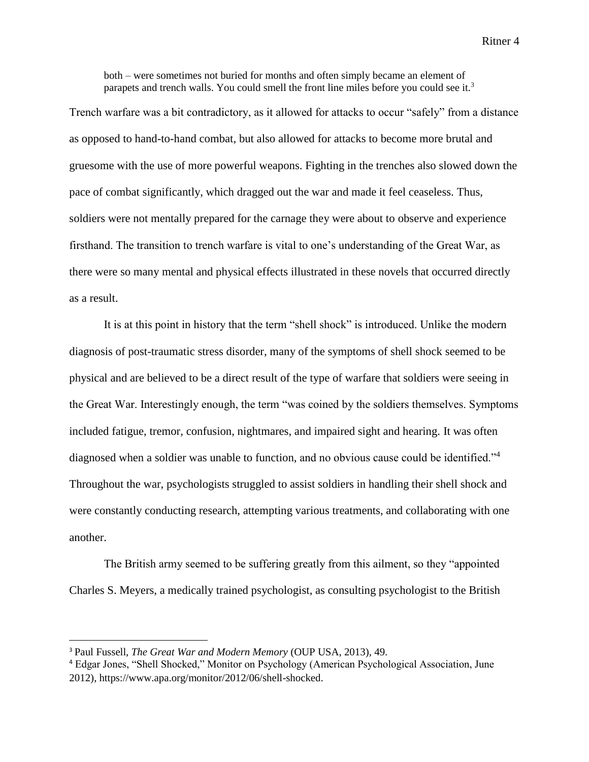both – were sometimes not buried for months and often simply became an element of parapets and trench walls. You could smell the front line miles before you could see it.<sup>3</sup>

Trench warfare was a bit contradictory, as it allowed for attacks to occur "safely" from a distance as opposed to hand-to-hand combat, but also allowed for attacks to become more brutal and gruesome with the use of more powerful weapons. Fighting in the trenches also slowed down the pace of combat significantly, which dragged out the war and made it feel ceaseless. Thus, soldiers were not mentally prepared for the carnage they were about to observe and experience firsthand. The transition to trench warfare is vital to one's understanding of the Great War, as there were so many mental and physical effects illustrated in these novels that occurred directly as a result.

It is at this point in history that the term "shell shock" is introduced. Unlike the modern diagnosis of post-traumatic stress disorder, many of the symptoms of shell shock seemed to be physical and are believed to be a direct result of the type of warfare that soldiers were seeing in the Great War. Interestingly enough, the term "was coined by the soldiers themselves. Symptoms included fatigue, tremor, confusion, nightmares, and impaired sight and hearing. It was often diagnosed when a soldier was unable to function, and no obvious cause could be identified."<sup>4</sup> Throughout the war, psychologists struggled to assist soldiers in handling their shell shock and were constantly conducting research, attempting various treatments, and collaborating with one another.

The British army seemed to be suffering greatly from this ailment, so they "appointed Charles S. Meyers, a medically trained psychologist, as consulting psychologist to the British

l

<sup>3</sup> Paul Fussell, *The Great War and Modern Memory* (OUP USA, 2013), 49.

<sup>4</sup> Edgar Jones, "Shell Shocked," Monitor on Psychology (American Psychological Association, June 2012), https://www.apa.org/monitor/2012/06/shell-shocked.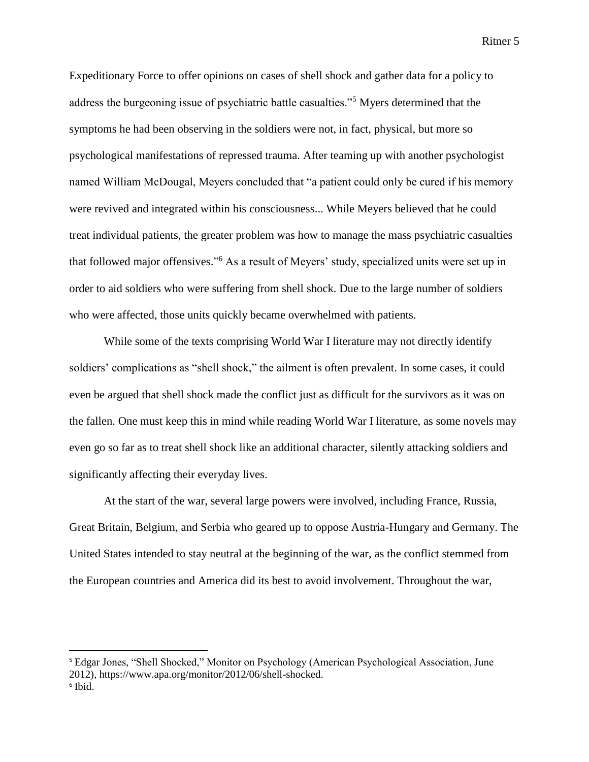Expeditionary Force to offer opinions on cases of shell shock and gather data for a policy to address the burgeoning issue of psychiatric battle casualties."<sup>5</sup> Myers determined that the symptoms he had been observing in the soldiers were not, in fact, physical, but more so psychological manifestations of repressed trauma. After teaming up with another psychologist named William McDougal, Meyers concluded that "a patient could only be cured if his memory were revived and integrated within his consciousness... While Meyers believed that he could treat individual patients, the greater problem was how to manage the mass psychiatric casualties that followed major offensives." <sup>6</sup> As a result of Meyers' study, specialized units were set up in order to aid soldiers who were suffering from shell shock. Due to the large number of soldiers who were affected, those units quickly became overwhelmed with patients.

While some of the texts comprising World War I literature may not directly identify soldiers' complications as "shell shock," the ailment is often prevalent. In some cases, it could even be argued that shell shock made the conflict just as difficult for the survivors as it was on the fallen. One must keep this in mind while reading World War I literature, as some novels may even go so far as to treat shell shock like an additional character, silently attacking soldiers and significantly affecting their everyday lives.

At the start of the war, several large powers were involved, including France, Russia, Great Britain, Belgium, and Serbia who geared up to oppose Austria-Hungary and Germany. The United States intended to stay neutral at the beginning of the war, as the conflict stemmed from the European countries and America did its best to avoid involvement. Throughout the war,

<sup>&</sup>lt;sup>5</sup> Edgar Jones, "Shell Shocked," Monitor on Psychology (American Psychological Association, June 2012), https://www.apa.org/monitor/2012/06/shell-shocked. 6 Ibid.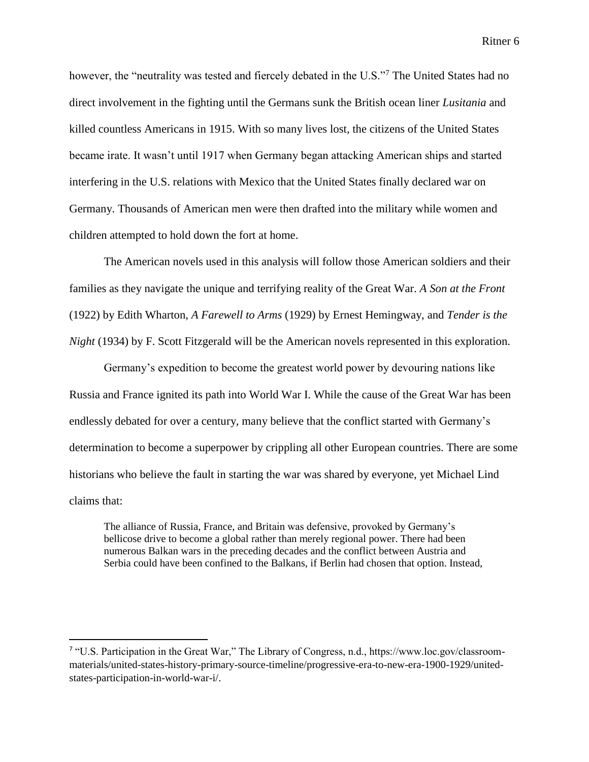however, the "neutrality was tested and fiercely debated in the U.S."<sup>7</sup> The United States had no direct involvement in the fighting until the Germans sunk the British ocean liner *Lusitania* and killed countless Americans in 1915. With so many lives lost, the citizens of the United States became irate. It wasn't until 1917 when Germany began attacking American ships and started interfering in the U.S. relations with Mexico that the United States finally declared war on Germany. Thousands of American men were then drafted into the military while women and children attempted to hold down the fort at home.

The American novels used in this analysis will follow those American soldiers and their families as they navigate the unique and terrifying reality of the Great War. *A Son at the Front*  (1922) by Edith Wharton, *A Farewell to Arms* (1929) by Ernest Hemingway, and *Tender is the Night* (1934) by F. Scott Fitzgerald will be the American novels represented in this exploration.

Germany's expedition to become the greatest world power by devouring nations like Russia and France ignited its path into World War I. While the cause of the Great War has been endlessly debated for over a century, many believe that the conflict started with Germany's determination to become a superpower by crippling all other European countries. There are some historians who believe the fault in starting the war was shared by everyone, yet Michael Lind claims that:

The alliance of Russia, France, and Britain was defensive, provoked by Germany's bellicose drive to become a global rather than merely regional power. There had been numerous Balkan wars in the preceding decades and the conflict between Austria and Serbia could have been confined to the Balkans, if Berlin had chosen that option. Instead,

<sup>&</sup>lt;sup>7</sup> "U.S. Participation in the Great War," The Library of Congress, n.d., https://www.loc.gov/classroommaterials/united-states-history-primary-source-timeline/progressive-era-to-new-era-1900-1929/unitedstates-participation-in-world-war-i/.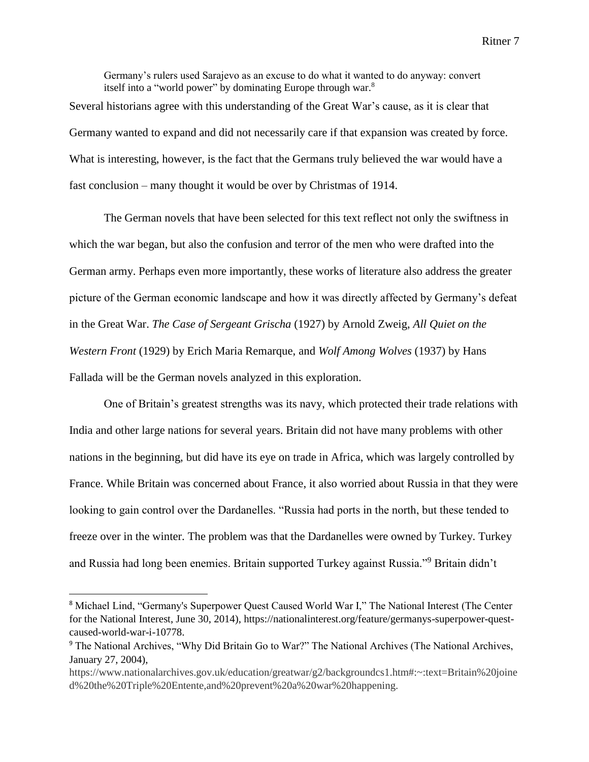Germany's rulers used Sarajevo as an excuse to do what it wanted to do anyway: convert itself into a "world power" by dominating Europe through war.<sup>8</sup> Several historians agree with this understanding of the Great War's cause, as it is clear that Germany wanted to expand and did not necessarily care if that expansion was created by force. What is interesting, however, is the fact that the Germans truly believed the war would have a fast conclusion – many thought it would be over by Christmas of 1914.

The German novels that have been selected for this text reflect not only the swiftness in which the war began, but also the confusion and terror of the men who were drafted into the German army. Perhaps even more importantly, these works of literature also address the greater picture of the German economic landscape and how it was directly affected by Germany's defeat in the Great War. *The Case of Sergeant Grischa* (1927) by Arnold Zweig, *All Quiet on the Western Front* (1929) by Erich Maria Remarque, and *Wolf Among Wolves* (1937) by Hans Fallada will be the German novels analyzed in this exploration.

One of Britain's greatest strengths was its navy, which protected their trade relations with India and other large nations for several years. Britain did not have many problems with other nations in the beginning, but did have its eye on trade in Africa, which was largely controlled by France. While Britain was concerned about France, it also worried about Russia in that they were looking to gain control over the Dardanelles. "Russia had ports in the north, but these tended to freeze over in the winter. The problem was that the Dardanelles were owned by Turkey. Turkey and Russia had long been enemies. Britain supported Turkey against Russia."<sup>9</sup> Britain didn't

 $\overline{a}$ 

<sup>8</sup> Michael Lind, "Germany's Superpower Quest Caused World War I," The National Interest (The Center for the National Interest, June 30, 2014), https://nationalinterest.org/feature/germanys-superpower-questcaused-world-war-i-10778.

<sup>&</sup>lt;sup>9</sup> The National Archives, "Why Did Britain Go to War?" The National Archives (The National Archives, January 27, 2004),

https://www.nationalarchives.gov.uk/education/greatwar/g2/backgroundcs1.htm#:~:text=Britain%20joine d%20the%20Triple%20Entente,and%20prevent%20a%20war%20happening.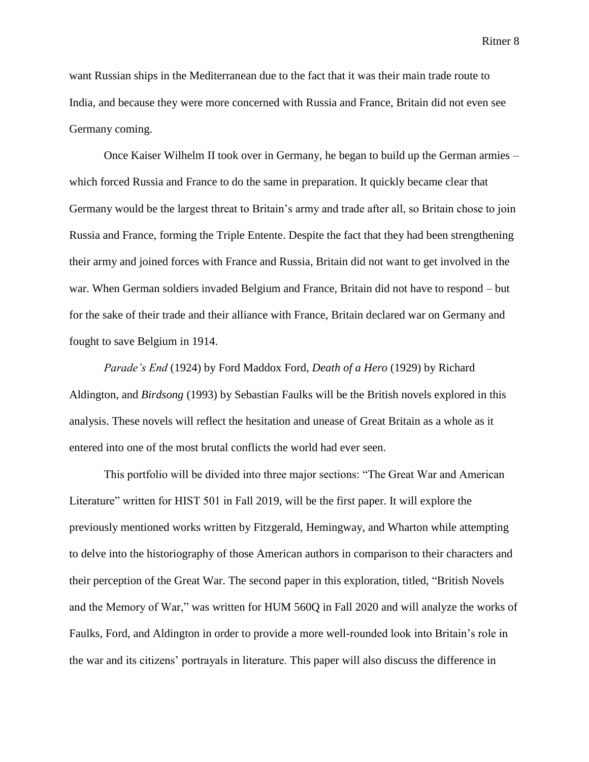want Russian ships in the Mediterranean due to the fact that it was their main trade route to India, and because they were more concerned with Russia and France, Britain did not even see Germany coming.

Once Kaiser Wilhelm II took over in Germany, he began to build up the German armies – which forced Russia and France to do the same in preparation. It quickly became clear that Germany would be the largest threat to Britain's army and trade after all, so Britain chose to join Russia and France, forming the Triple Entente. Despite the fact that they had been strengthening their army and joined forces with France and Russia, Britain did not want to get involved in the war. When German soldiers invaded Belgium and France, Britain did not have to respond – but for the sake of their trade and their alliance with France, Britain declared war on Germany and fought to save Belgium in 1914.

*Parade's End* (1924) by Ford Maddox Ford, *Death of a Hero* (1929) by Richard Aldington, and *Birdsong* (1993) by Sebastian Faulks will be the British novels explored in this analysis. These novels will reflect the hesitation and unease of Great Britain as a whole as it entered into one of the most brutal conflicts the world had ever seen.

This portfolio will be divided into three major sections: "The Great War and American Literature" written for HIST 501 in Fall 2019, will be the first paper. It will explore the previously mentioned works written by Fitzgerald, Hemingway, and Wharton while attempting to delve into the historiography of those American authors in comparison to their characters and their perception of the Great War. The second paper in this exploration, titled, "British Novels and the Memory of War," was written for HUM 560Q in Fall 2020 and will analyze the works of Faulks, Ford, and Aldington in order to provide a more well-rounded look into Britain's role in the war and its citizens' portrayals in literature. This paper will also discuss the difference in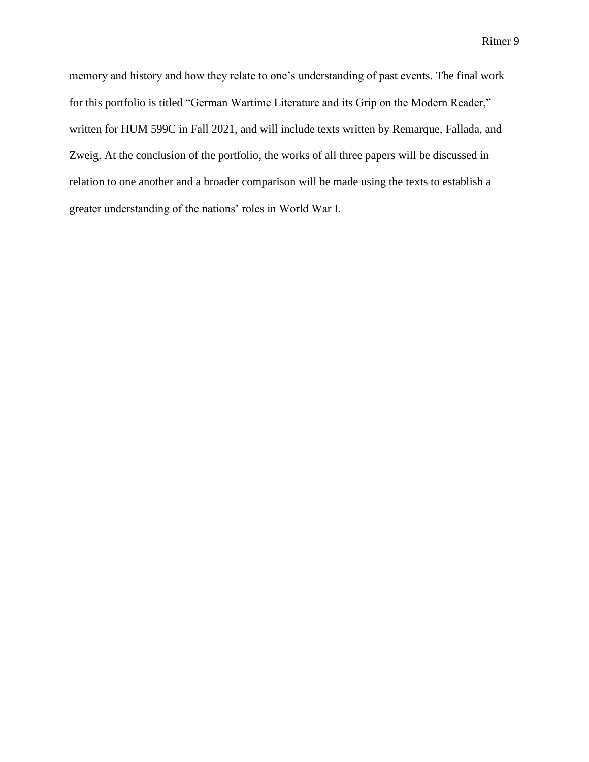memory and history and how they relate to one's understanding of past events. The final work for this portfolio is titled "German Wartime Literature and its Grip on the Modern Reader," written for HUM 599C in Fall 2021, and will include texts written by Remarque, Fallada, and Zweig. At the conclusion of the portfolio, the works of all three papers will be discussed in relation to one another and a broader comparison will be made using the texts to establish a greater understanding of the nations' roles in World War I.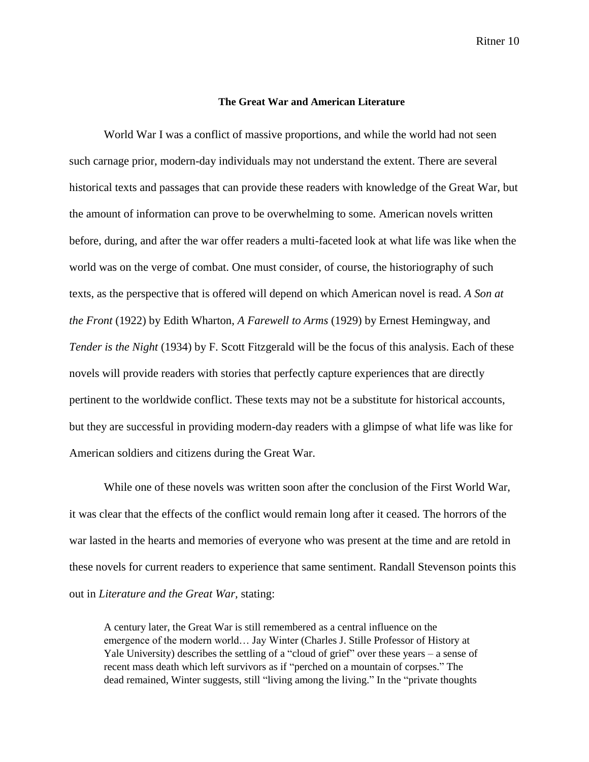#### **The Great War and American Literature**

World War I was a conflict of massive proportions, and while the world had not seen such carnage prior, modern-day individuals may not understand the extent. There are several historical texts and passages that can provide these readers with knowledge of the Great War, but the amount of information can prove to be overwhelming to some. American novels written before, during, and after the war offer readers a multi-faceted look at what life was like when the world was on the verge of combat. One must consider, of course, the historiography of such texts, as the perspective that is offered will depend on which American novel is read. *A Son at the Front* (1922) by Edith Wharton, *A Farewell to Arms* (1929) by Ernest Hemingway, and *Tender is the Night* (1934) by F. Scott Fitzgerald will be the focus of this analysis. Each of these novels will provide readers with stories that perfectly capture experiences that are directly pertinent to the worldwide conflict. These texts may not be a substitute for historical accounts, but they are successful in providing modern-day readers with a glimpse of what life was like for American soldiers and citizens during the Great War.

While one of these novels was written soon after the conclusion of the First World War, it was clear that the effects of the conflict would remain long after it ceased. The horrors of the war lasted in the hearts and memories of everyone who was present at the time and are retold in these novels for current readers to experience that same sentiment. Randall Stevenson points this out in *Literature and the Great War,* stating:

A century later, the Great War is still remembered as a central influence on the emergence of the modern world… Jay Winter (Charles J. Stille Professor of History at Yale University) describes the settling of a "cloud of grief" over these years – a sense of recent mass death which left survivors as if "perched on a mountain of corpses." The dead remained, Winter suggests, still "living among the living." In the "private thoughts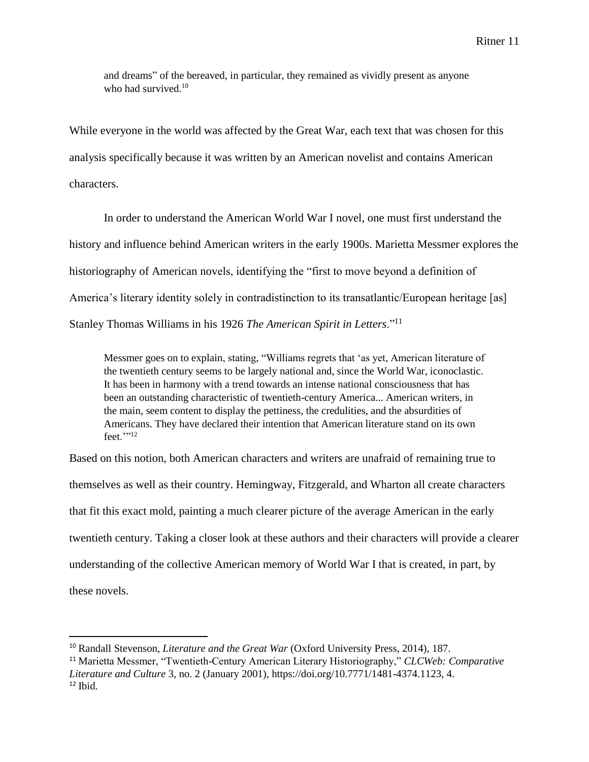and dreams" of the bereaved, in particular, they remained as vividly present as anyone who had survived.<sup>10</sup>

While everyone in the world was affected by the Great War, each text that was chosen for this analysis specifically because it was written by an American novelist and contains American characters.

In order to understand the American World War I novel, one must first understand the history and influence behind American writers in the early 1900s. Marietta Messmer explores the historiography of American novels, identifying the "first to move beyond a definition of America's literary identity solely in contradistinction to its transatlantic/European heritage [as] Stanley Thomas Williams in his 1926 *The American Spirit in Letters*."<sup>11</sup>

Messmer goes on to explain, stating, "Williams regrets that 'as yet, American literature of the twentieth century seems to be largely national and, since the World War, iconoclastic. It has been in harmony with a trend towards an intense national consciousness that has been an outstanding characteristic of twentieth-century America... American writers, in the main, seem content to display the pettiness, the credulities, and the absurdities of Americans. They have declared their intention that American literature stand on its own feet.'''12

Based on this notion, both American characters and writers are unafraid of remaining true to themselves as well as their country. Hemingway, Fitzgerald, and Wharton all create characters that fit this exact mold, painting a much clearer picture of the average American in the early twentieth century. Taking a closer look at these authors and their characters will provide a clearer understanding of the collective American memory of World War I that is created, in part, by these novels.

 $\overline{a}$ 

<sup>10</sup> Randall Stevenson, *Literature and the Great War* (Oxford University Press, 2014), 187.

<sup>11</sup> Marietta Messmer, "Twentieth-Century American Literary Historiography," *CLCWeb: Comparative Literature and Culture* 3, no. 2 (January 2001), https://doi.org/10.7771/1481-4374.1123, 4. <sup>12</sup> Ibid*.*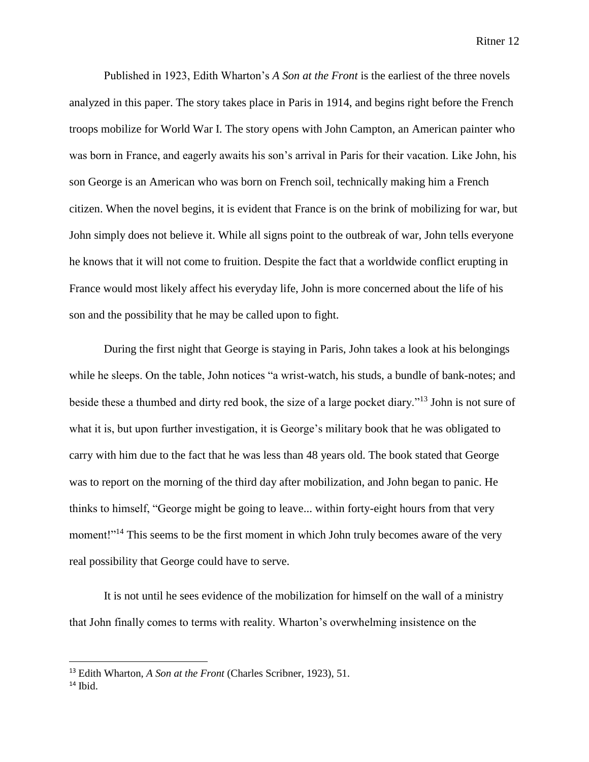Published in 1923, Edith Wharton's *A Son at the Front* is the earliest of the three novels analyzed in this paper. The story takes place in Paris in 1914, and begins right before the French troops mobilize for World War I. The story opens with John Campton, an American painter who was born in France, and eagerly awaits his son's arrival in Paris for their vacation. Like John, his son George is an American who was born on French soil, technically making him a French citizen. When the novel begins, it is evident that France is on the brink of mobilizing for war, but John simply does not believe it. While all signs point to the outbreak of war, John tells everyone he knows that it will not come to fruition. Despite the fact that a worldwide conflict erupting in France would most likely affect his everyday life, John is more concerned about the life of his son and the possibility that he may be called upon to fight.

During the first night that George is staying in Paris, John takes a look at his belongings while he sleeps. On the table, John notices "a wrist-watch, his studs, a bundle of bank-notes; and beside these a thumbed and dirty red book, the size of a large pocket diary."<sup>13</sup> John is not sure of what it is, but upon further investigation, it is George's military book that he was obligated to carry with him due to the fact that he was less than 48 years old. The book stated that George was to report on the morning of the third day after mobilization, and John began to panic. He thinks to himself, "George might be going to leave... within forty-eight hours from that very moment!"<sup>14</sup> This seems to be the first moment in which John truly becomes aware of the very real possibility that George could have to serve.

It is not until he sees evidence of the mobilization for himself on the wall of a ministry that John finally comes to terms with reality. Wharton's overwhelming insistence on the

<sup>13</sup> Edith Wharton, *A Son at the Front* (Charles Scribner, 1923), 51.

 $14$  Ibid.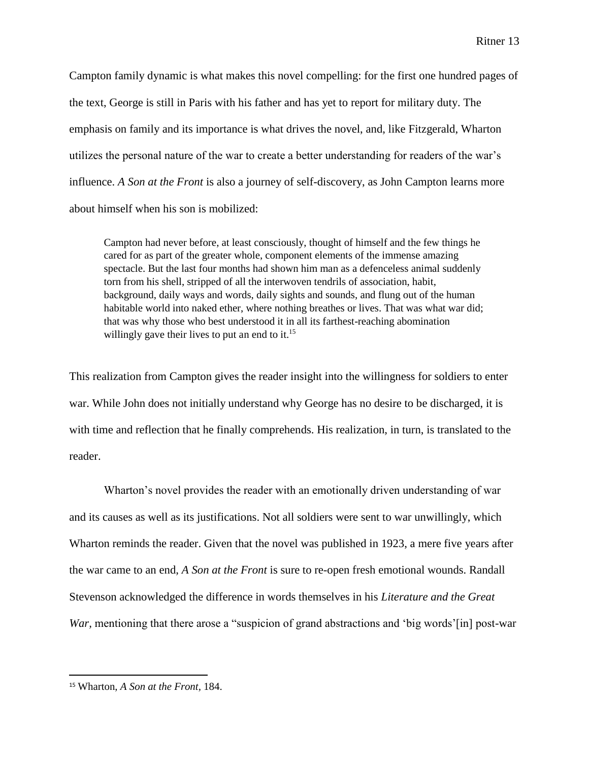Campton family dynamic is what makes this novel compelling: for the first one hundred pages of the text, George is still in Paris with his father and has yet to report for military duty. The emphasis on family and its importance is what drives the novel, and, like Fitzgerald, Wharton utilizes the personal nature of the war to create a better understanding for readers of the war's influence. *A Son at the Front* is also a journey of self-discovery, as John Campton learns more about himself when his son is mobilized:

Campton had never before, at least consciously, thought of himself and the few things he cared for as part of the greater whole, component elements of the immense amazing spectacle. But the last four months had shown him man as a defenceless animal suddenly torn from his shell, stripped of all the interwoven tendrils of association, habit, background, daily ways and words, daily sights and sounds, and flung out of the human habitable world into naked ether, where nothing breathes or lives. That was what war did; that was why those who best understood it in all its farthest-reaching abomination willingly gave their lives to put an end to it.<sup>15</sup>

This realization from Campton gives the reader insight into the willingness for soldiers to enter war. While John does not initially understand why George has no desire to be discharged, it is with time and reflection that he finally comprehends. His realization, in turn, is translated to the reader.

Wharton's novel provides the reader with an emotionally driven understanding of war and its causes as well as its justifications. Not all soldiers were sent to war unwillingly, which Wharton reminds the reader. Given that the novel was published in 1923, a mere five years after the war came to an end, *A Son at the Front* is sure to re-open fresh emotional wounds. Randall Stevenson acknowledged the difference in words themselves in his *Literature and the Great War*, mentioning that there arose a "suspicion of grand abstractions and 'big words'[in] post-war

<sup>15</sup> Wharton, *A Son at the Front,* 184.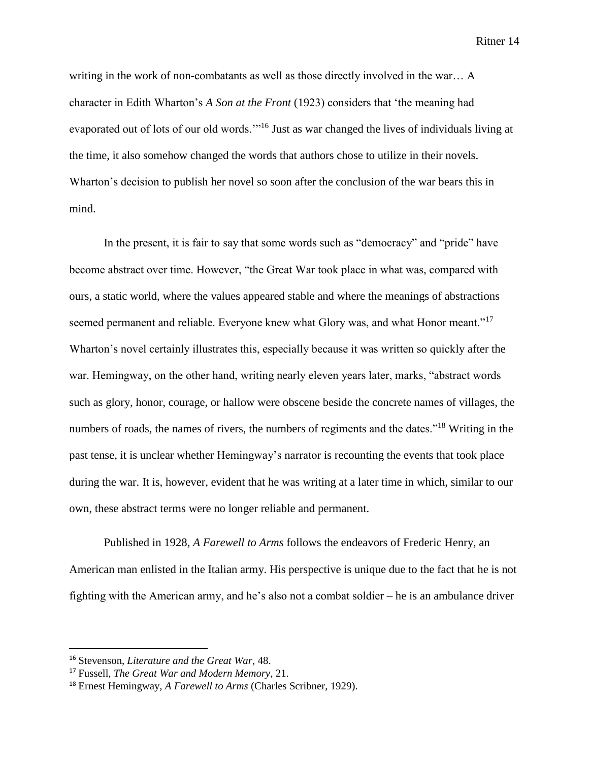writing in the work of non-combatants as well as those directly involved in the war… A character in Edith Wharton's *A Son at the Front* (1923) considers that 'the meaning had evaporated out of lots of our old words.'"<sup>16</sup> Just as war changed the lives of individuals living at the time, it also somehow changed the words that authors chose to utilize in their novels. Wharton's decision to publish her novel so soon after the conclusion of the war bears this in mind.

In the present, it is fair to say that some words such as "democracy" and "pride" have become abstract over time. However, "the Great War took place in what was, compared with ours, a static world, where the values appeared stable and where the meanings of abstractions seemed permanent and reliable. Everyone knew what Glory was, and what Honor meant."<sup>17</sup> Wharton's novel certainly illustrates this, especially because it was written so quickly after the war. Hemingway, on the other hand, writing nearly eleven years later, marks, "abstract words such as glory, honor, courage, or hallow were obscene beside the concrete names of villages, the numbers of roads, the names of rivers, the numbers of regiments and the dates."<sup>18</sup> Writing in the past tense, it is unclear whether Hemingway's narrator is recounting the events that took place during the war. It is, however, evident that he was writing at a later time in which, similar to our own, these abstract terms were no longer reliable and permanent.

Published in 1928, *A Farewell to Arms* follows the endeavors of Frederic Henry, an American man enlisted in the Italian army. His perspective is unique due to the fact that he is not fighting with the American army, and he's also not a combat soldier – he is an ambulance driver

<sup>16</sup> Stevenson, *Literature and the Great War*, 48.

<sup>17</sup> Fussell, *The Great War and Modern Memory*, 21.

<sup>18</sup> Ernest Hemingway, *A Farewell to Arms* (Charles Scribner, 1929).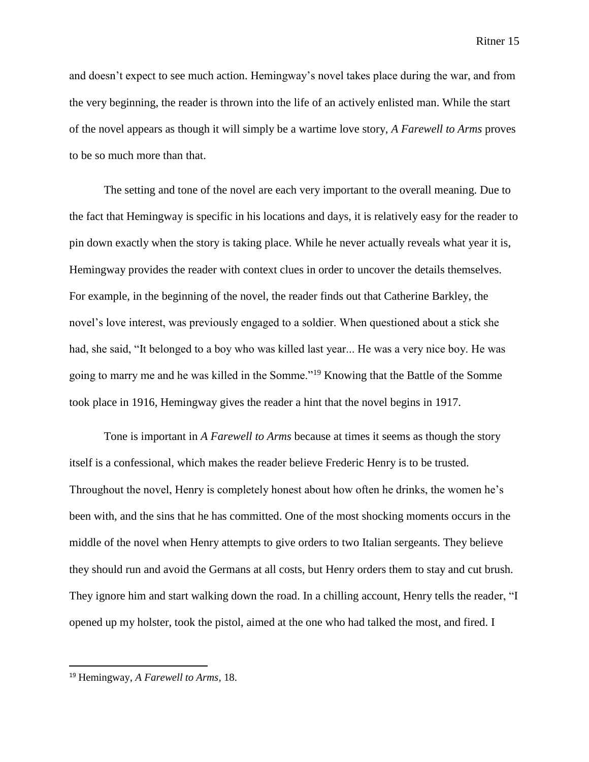and doesn't expect to see much action. Hemingway's novel takes place during the war, and from the very beginning, the reader is thrown into the life of an actively enlisted man. While the start of the novel appears as though it will simply be a wartime love story, *A Farewell to Arms* proves to be so much more than that.

The setting and tone of the novel are each very important to the overall meaning. Due to the fact that Hemingway is specific in his locations and days, it is relatively easy for the reader to pin down exactly when the story is taking place. While he never actually reveals what year it is, Hemingway provides the reader with context clues in order to uncover the details themselves. For example, in the beginning of the novel, the reader finds out that Catherine Barkley, the novel's love interest, was previously engaged to a soldier. When questioned about a stick she had, she said, "It belonged to a boy who was killed last year... He was a very nice boy. He was going to marry me and he was killed in the Somme."<sup>19</sup> Knowing that the Battle of the Somme took place in 1916, Hemingway gives the reader a hint that the novel begins in 1917.

Tone is important in *A Farewell to Arms* because at times it seems as though the story itself is a confessional, which makes the reader believe Frederic Henry is to be trusted. Throughout the novel, Henry is completely honest about how often he drinks, the women he's been with, and the sins that he has committed. One of the most shocking moments occurs in the middle of the novel when Henry attempts to give orders to two Italian sergeants. They believe they should run and avoid the Germans at all costs, but Henry orders them to stay and cut brush. They ignore him and start walking down the road. In a chilling account, Henry tells the reader, "I opened up my holster, took the pistol, aimed at the one who had talked the most, and fired. I

<sup>19</sup> Hemingway, *A Farewell to Arms,* 18.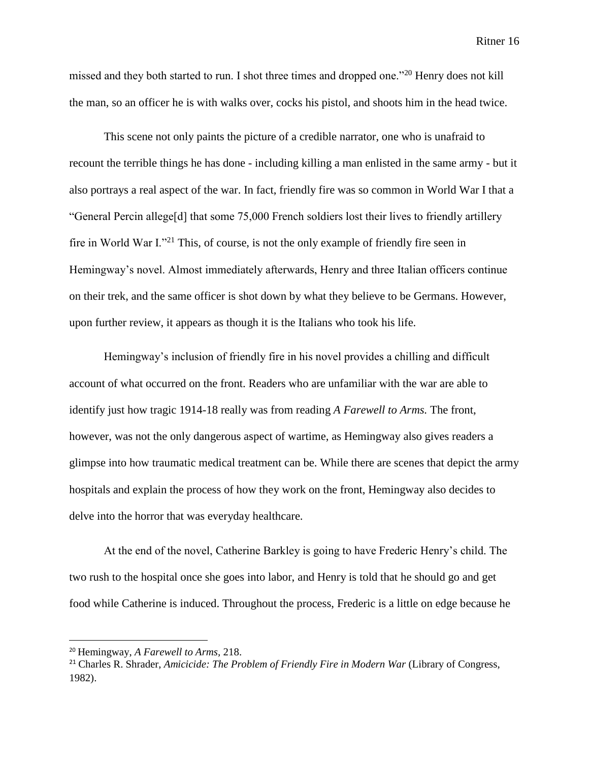missed and they both started to run. I shot three times and dropped one."<sup>20</sup> Henry does not kill the man, so an officer he is with walks over, cocks his pistol, and shoots him in the head twice.

This scene not only paints the picture of a credible narrator, one who is unafraid to recount the terrible things he has done - including killing a man enlisted in the same army - but it also portrays a real aspect of the war. In fact, friendly fire was so common in World War I that a "General Percin allege[d] that some 75,000 French soldiers lost their lives to friendly artillery fire in World War I."<sup>21</sup> This, of course, is not the only example of friendly fire seen in Hemingway's novel. Almost immediately afterwards, Henry and three Italian officers continue on their trek, and the same officer is shot down by what they believe to be Germans. However, upon further review, it appears as though it is the Italians who took his life.

Hemingway's inclusion of friendly fire in his novel provides a chilling and difficult account of what occurred on the front. Readers who are unfamiliar with the war are able to identify just how tragic 1914-18 really was from reading *A Farewell to Arms.* The front, however, was not the only dangerous aspect of wartime, as Hemingway also gives readers a glimpse into how traumatic medical treatment can be. While there are scenes that depict the army hospitals and explain the process of how they work on the front, Hemingway also decides to delve into the horror that was everyday healthcare.

At the end of the novel, Catherine Barkley is going to have Frederic Henry's child. The two rush to the hospital once she goes into labor, and Henry is told that he should go and get food while Catherine is induced. Throughout the process, Frederic is a little on edge because he

l

<sup>20</sup> Hemingway, *A Farewell to Arms,* 218.

<sup>21</sup> Charles R. Shrader, *Amicicide: The Problem of Friendly Fire in Modern War* (Library of Congress, 1982).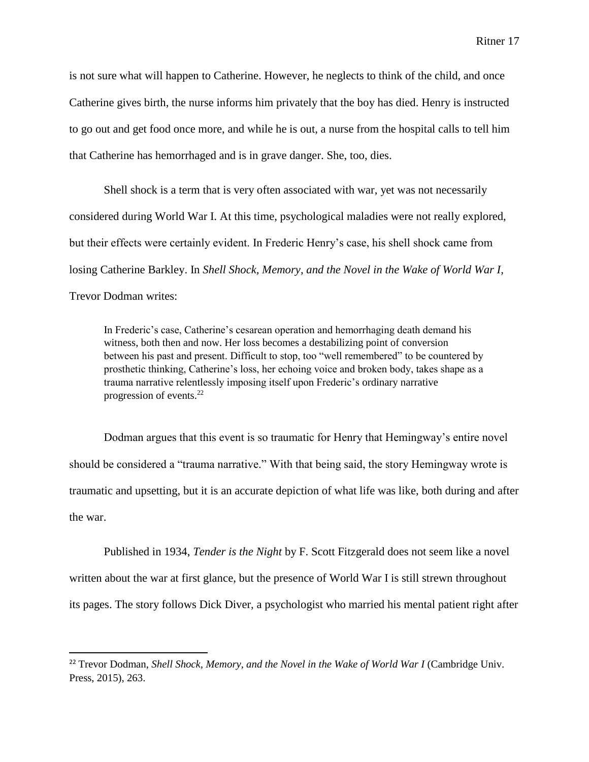is not sure what will happen to Catherine. However, he neglects to think of the child, and once Catherine gives birth, the nurse informs him privately that the boy has died. Henry is instructed to go out and get food once more, and while he is out, a nurse from the hospital calls to tell him that Catherine has hemorrhaged and is in grave danger. She, too, dies.

Shell shock is a term that is very often associated with war, yet was not necessarily considered during World War I. At this time, psychological maladies were not really explored, but their effects were certainly evident. In Frederic Henry's case, his shell shock came from losing Catherine Barkley. In *Shell Shock, Memory, and the Novel in the Wake of World War I,*  Trevor Dodman writes:

In Frederic's case, Catherine's cesarean operation and hemorrhaging death demand his witness, both then and now. Her loss becomes a destabilizing point of conversion between his past and present. Difficult to stop, too "well remembered" to be countered by prosthetic thinking, Catherine's loss, her echoing voice and broken body, takes shape as a trauma narrative relentlessly imposing itself upon Frederic's ordinary narrative progression of events.<sup>22</sup>

Dodman argues that this event is so traumatic for Henry that Hemingway's entire novel should be considered a "trauma narrative." With that being said, the story Hemingway wrote is traumatic and upsetting, but it is an accurate depiction of what life was like, both during and after the war.

Published in 1934, *Tender is the Night* by F. Scott Fitzgerald does not seem like a novel written about the war at first glance, but the presence of World War I is still strewn throughout its pages. The story follows Dick Diver, a psychologist who married his mental patient right after

<sup>&</sup>lt;sup>22</sup> Trevor Dodman, *Shell Shock, Memory, and the Novel in the Wake of World War I* (Cambridge Univ. Press, 2015), 263.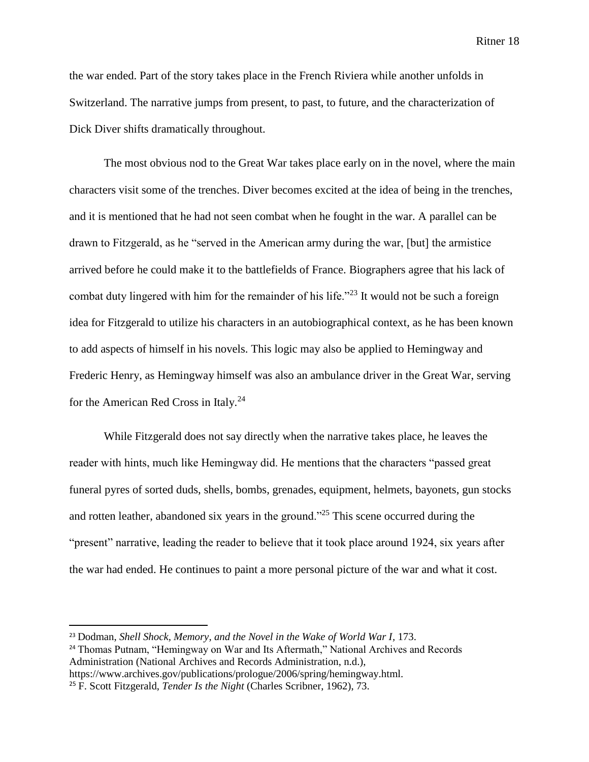the war ended. Part of the story takes place in the French Riviera while another unfolds in Switzerland. The narrative jumps from present, to past, to future, and the characterization of Dick Diver shifts dramatically throughout.

The most obvious nod to the Great War takes place early on in the novel, where the main characters visit some of the trenches. Diver becomes excited at the idea of being in the trenches, and it is mentioned that he had not seen combat when he fought in the war. A parallel can be drawn to Fitzgerald, as he "served in the American army during the war, [but] the armistice arrived before he could make it to the battlefields of France. Biographers agree that his lack of combat duty lingered with him for the remainder of his life.<sup> $22$ </sup> It would not be such a foreign idea for Fitzgerald to utilize his characters in an autobiographical context, as he has been known to add aspects of himself in his novels. This logic may also be applied to Hemingway and Frederic Henry, as Hemingway himself was also an ambulance driver in the Great War, serving for the American Red Cross in Italy.<sup>24</sup>

While Fitzgerald does not say directly when the narrative takes place, he leaves the reader with hints, much like Hemingway did. He mentions that the characters "passed great funeral pyres of sorted duds, shells, bombs, grenades, equipment, helmets, bayonets, gun stocks and rotten leather, abandoned six years in the ground."<sup>25</sup> This scene occurred during the "present" narrative, leading the reader to believe that it took place around 1924, six years after the war had ended. He continues to paint a more personal picture of the war and what it cost.

<sup>23</sup> Dodman, *Shell Shock, Memory, and the Novel in the Wake of World War I,* 173.

<sup>&</sup>lt;sup>24</sup> Thomas Putnam, "Hemingway on War and Its Aftermath," National Archives and Records Administration (National Archives and Records Administration, n.d.),

https://www.archives.gov/publications/prologue/2006/spring/hemingway.html.

<sup>25</sup> F. Scott Fitzgerald, *Tender Is the Night* (Charles Scribner, 1962), 73.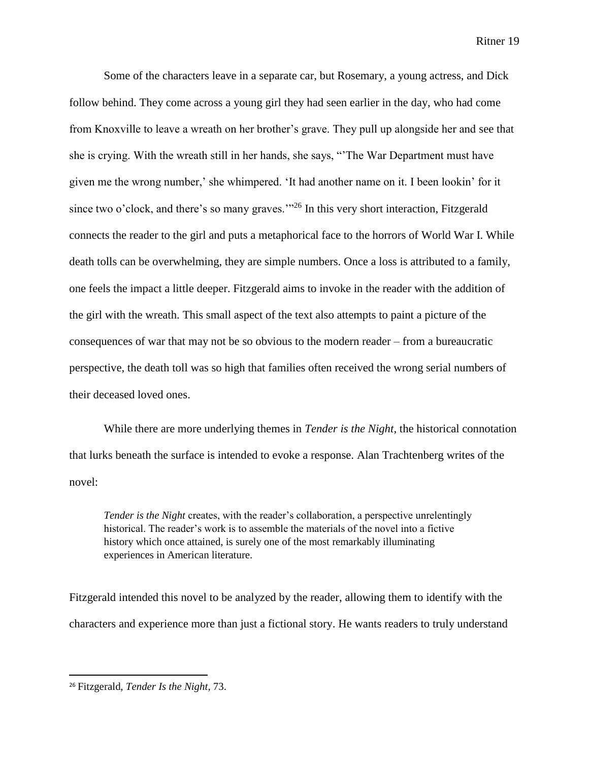Some of the characters leave in a separate car, but Rosemary, a young actress, and Dick follow behind. They come across a young girl they had seen earlier in the day, who had come from Knoxville to leave a wreath on her brother's grave. They pull up alongside her and see that she is crying. With the wreath still in her hands, she says, "'The War Department must have given me the wrong number,' she whimpered. 'It had another name on it. I been lookin' for it since two o'clock, and there's so many graves."<sup>26</sup> In this very short interaction, Fitzgerald connects the reader to the girl and puts a metaphorical face to the horrors of World War I. While death tolls can be overwhelming, they are simple numbers. Once a loss is attributed to a family, one feels the impact a little deeper. Fitzgerald aims to invoke in the reader with the addition of the girl with the wreath. This small aspect of the text also attempts to paint a picture of the consequences of war that may not be so obvious to the modern reader – from a bureaucratic perspective, the death toll was so high that families often received the wrong serial numbers of their deceased loved ones.

While there are more underlying themes in *Tender is the Night*, the historical connotation that lurks beneath the surface is intended to evoke a response. Alan Trachtenberg writes of the novel:

*Tender is the Night* creates, with the reader's collaboration, a perspective unrelentingly historical. The reader's work is to assemble the materials of the novel into a fictive history which once attained, is surely one of the most remarkably illuminating experiences in American literature.

Fitzgerald intended this novel to be analyzed by the reader, allowing them to identify with the characters and experience more than just a fictional story. He wants readers to truly understand

<sup>26</sup> Fitzgerald, *Tender Is the Night*, 73.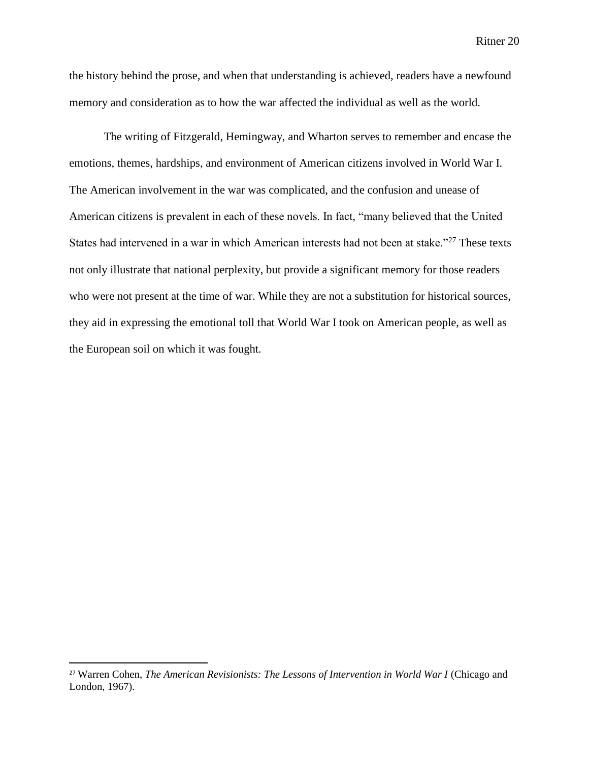the history behind the prose, and when that understanding is achieved, readers have a newfound memory and consideration as to how the war affected the individual as well as the world.

The writing of Fitzgerald, Hemingway, and Wharton serves to remember and encase the emotions, themes, hardships, and environment of American citizens involved in World War I. The American involvement in the war was complicated, and the confusion and unease of American citizens is prevalent in each of these novels. In fact, "many believed that the United States had intervened in a war in which American interests had not been at stake."<sup>27</sup> These texts not only illustrate that national perplexity, but provide a significant memory for those readers who were not present at the time of war. While they are not a substitution for historical sources, they aid in expressing the emotional toll that World War I took on American people, as well as the European soil on which it was fought.

 $\overline{a}$ 

<sup>&</sup>lt;sup>27</sup> Warren Cohen, *The American Revisionists: The Lessons of Intervention in World War I (Chicago and* London, 1967).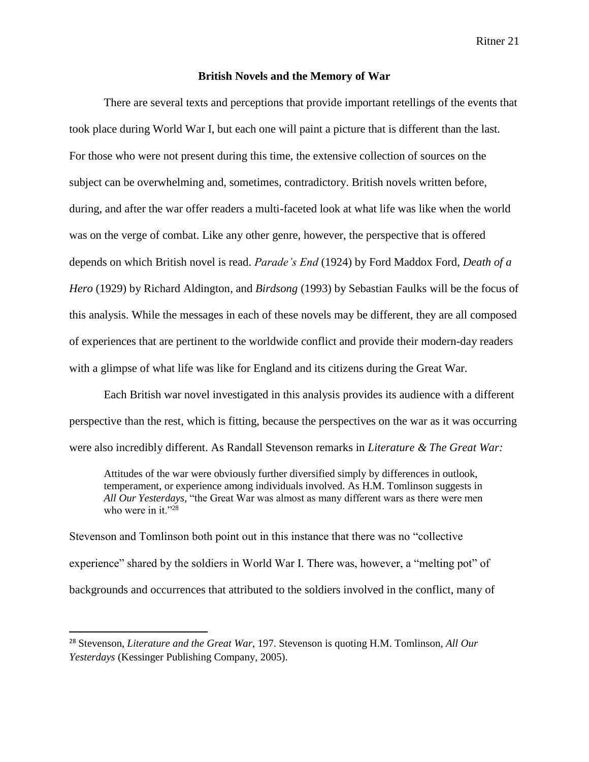#### **British Novels and the Memory of War**

There are several texts and perceptions that provide important retellings of the events that took place during World War I, but each one will paint a picture that is different than the last. For those who were not present during this time, the extensive collection of sources on the subject can be overwhelming and, sometimes, contradictory. British novels written before, during, and after the war offer readers a multi-faceted look at what life was like when the world was on the verge of combat. Like any other genre, however, the perspective that is offered depends on which British novel is read. *Parade's End* (1924) by Ford Maddox Ford, *Death of a Hero* (1929) by Richard Aldington, and *Birdsong* (1993) by Sebastian Faulks will be the focus of this analysis. While the messages in each of these novels may be different, they are all composed of experiences that are pertinent to the worldwide conflict and provide their modern-day readers with a glimpse of what life was like for England and its citizens during the Great War.

Each British war novel investigated in this analysis provides its audience with a different perspective than the rest, which is fitting, because the perspectives on the war as it was occurring were also incredibly different. As Randall Stevenson remarks in *Literature & The Great War:*

Attitudes of the war were obviously further diversified simply by differences in outlook, temperament, or experience among individuals involved. As H.M. Tomlinson suggests in *All Our Yesterdays,* "the Great War was almost as many different wars as there were men who were in it." $^{28}$ 

Stevenson and Tomlinson both point out in this instance that there was no "collective experience" shared by the soldiers in World War I. There was, however, a "melting pot" of backgrounds and occurrences that attributed to the soldiers involved in the conflict, many of

l

<sup>28</sup> Stevenson, *Literature and the Great War*, 197. Stevenson is quoting H.M. Tomlinson, *All Our Yesterdays* (Kessinger Publishing Company, 2005).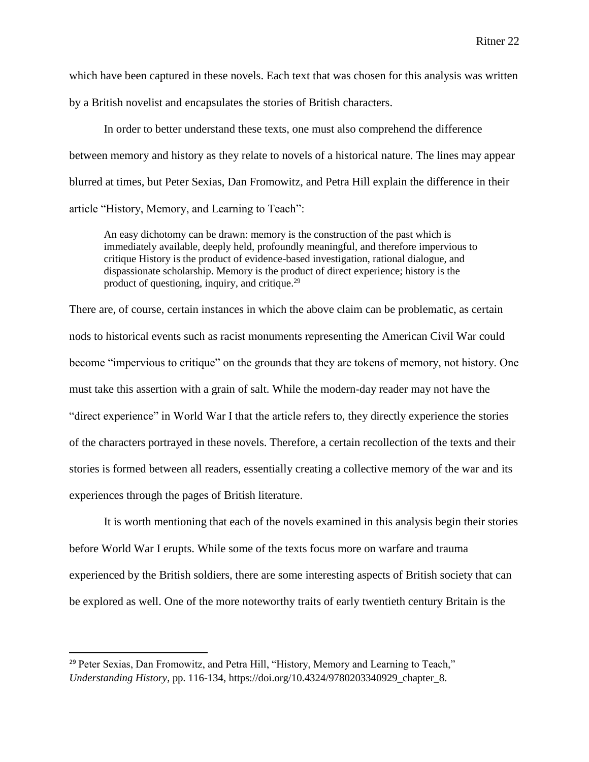which have been captured in these novels. Each text that was chosen for this analysis was written by a British novelist and encapsulates the stories of British characters.

In order to better understand these texts, one must also comprehend the difference between memory and history as they relate to novels of a historical nature. The lines may appear blurred at times, but Peter Sexias, Dan Fromowitz, and Petra Hill explain the difference in their article "History, Memory, and Learning to Teach":

An easy dichotomy can be drawn: memory is the construction of the past which is immediately available, deeply held, profoundly meaningful, and therefore impervious to critique History is the product of evidence-based investigation, rational dialogue, and dispassionate scholarship. Memory is the product of direct experience; history is the product of questioning, inquiry, and critique.<sup>29</sup>

There are, of course, certain instances in which the above claim can be problematic, as certain nods to historical events such as racist monuments representing the American Civil War could become "impervious to critique" on the grounds that they are tokens of memory, not history. One must take this assertion with a grain of salt. While the modern-day reader may not have the "direct experience" in World War I that the article refers to, they directly experience the stories of the characters portrayed in these novels. Therefore, a certain recollection of the texts and their stories is formed between all readers, essentially creating a collective memory of the war and its experiences through the pages of British literature.

It is worth mentioning that each of the novels examined in this analysis begin their stories before World War I erupts. While some of the texts focus more on warfare and trauma experienced by the British soldiers, there are some interesting aspects of British society that can be explored as well. One of the more noteworthy traits of early twentieth century Britain is the

<sup>&</sup>lt;sup>29</sup> Peter Sexias, Dan Fromowitz, and Petra Hill, "History, Memory and Learning to Teach," *Understanding History*, pp. 116-134, https://doi.org/10.4324/9780203340929\_chapter\_8.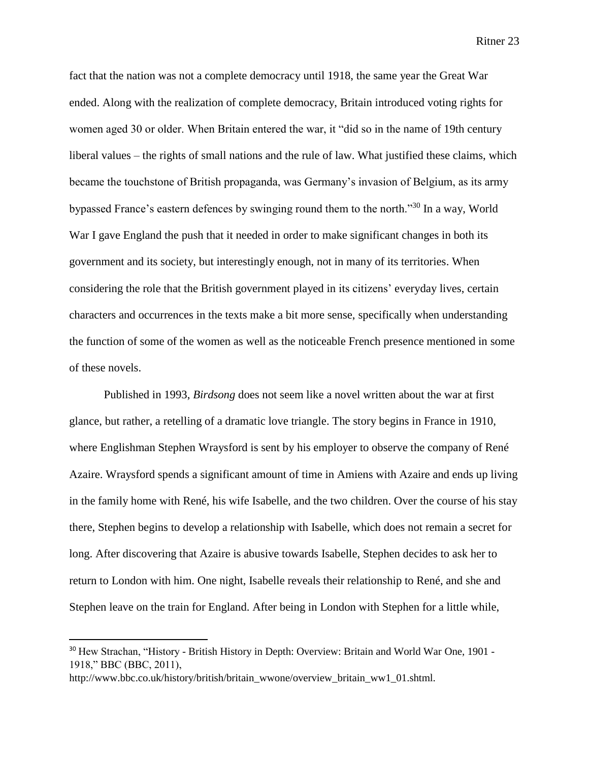fact that the nation was not a complete democracy until 1918, the same year the Great War ended. Along with the realization of complete democracy, Britain introduced voting rights for women aged 30 or older. When Britain entered the war, it "did so in the name of 19th century liberal values – the rights of small nations and the rule of law. What justified these claims, which became the touchstone of British propaganda, was Germany's invasion of Belgium, as its army bypassed France's eastern defences by swinging round them to the north."<sup>30</sup> In a way, World War I gave England the push that it needed in order to make significant changes in both its government and its society, but interestingly enough, not in many of its territories. When considering the role that the British government played in its citizens' everyday lives, certain characters and occurrences in the texts make a bit more sense, specifically when understanding the function of some of the women as well as the noticeable French presence mentioned in some of these novels.

Published in 1993, *Birdsong* does not seem like a novel written about the war at first glance, but rather, a retelling of a dramatic love triangle. The story begins in France in 1910, where Englishman Stephen Wraysford is sent by his employer to observe the company of René Azaire. Wraysford spends a significant amount of time in Amiens with Azaire and ends up living in the family home with René, his wife Isabelle, and the two children. Over the course of his stay there, Stephen begins to develop a relationship with Isabelle, which does not remain a secret for long. After discovering that Azaire is abusive towards Isabelle, Stephen decides to ask her to return to London with him. One night, Isabelle reveals their relationship to René, and she and Stephen leave on the train for England. After being in London with Stephen for a little while,

<sup>&</sup>lt;sup>30</sup> Hew Strachan, "History - British History in Depth: Overview: Britain and World War One, 1901 -1918," BBC (BBC, 2011),

http://www.bbc.co.uk/history/british/britain\_wwone/overview\_britain\_ww1\_01.shtml.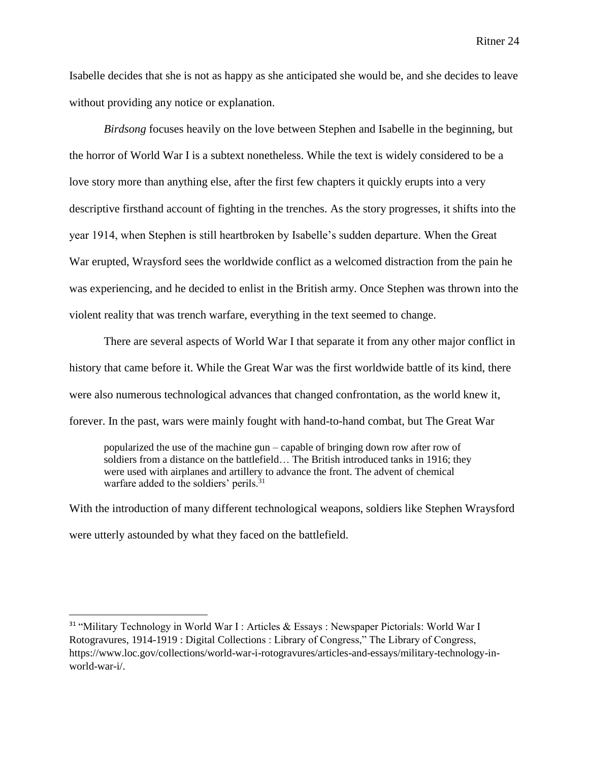Isabelle decides that she is not as happy as she anticipated she would be, and she decides to leave without providing any notice or explanation.

*Birdsong* focuses heavily on the love between Stephen and Isabelle in the beginning, but the horror of World War I is a subtext nonetheless. While the text is widely considered to be a love story more than anything else, after the first few chapters it quickly erupts into a very descriptive firsthand account of fighting in the trenches. As the story progresses, it shifts into the year 1914, when Stephen is still heartbroken by Isabelle's sudden departure. When the Great War erupted, Wraysford sees the worldwide conflict as a welcomed distraction from the pain he was experiencing, and he decided to enlist in the British army. Once Stephen was thrown into the violent reality that was trench warfare, everything in the text seemed to change.

There are several aspects of World War I that separate it from any other major conflict in history that came before it. While the Great War was the first worldwide battle of its kind, there were also numerous technological advances that changed confrontation, as the world knew it, forever. In the past, wars were mainly fought with hand-to-hand combat, but The Great War

popularized the use of the machine gun – capable of bringing down row after row of soldiers from a distance on the battlefield… The British introduced tanks in 1916; they were used with airplanes and artillery to advance the front. The advent of chemical warfare added to the soldiers' perils.<sup>31</sup>

With the introduction of many different technological weapons, soldiers like Stephen Wraysford were utterly astounded by what they faced on the battlefield.

<sup>&</sup>lt;sup>31</sup> "Military Technology in World War I : Articles & Essays : Newspaper Pictorials: World War I Rotogravures, 1914-1919 : Digital Collections : Library of Congress," The Library of Congress, https://www.loc.gov/collections/world-war-i-rotogravures/articles-and-essays/military-technology-inworld-war-i/.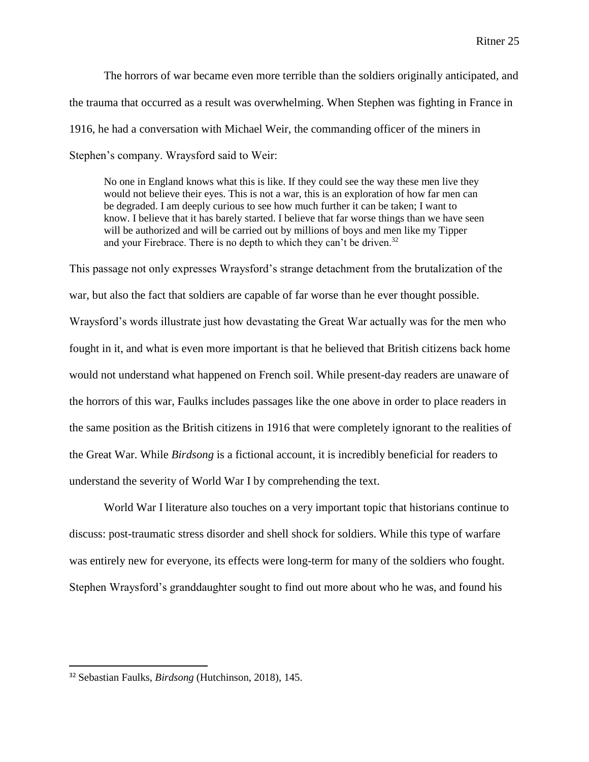The horrors of war became even more terrible than the soldiers originally anticipated, and the trauma that occurred as a result was overwhelming. When Stephen was fighting in France in 1916, he had a conversation with Michael Weir, the commanding officer of the miners in Stephen's company. Wraysford said to Weir:

No one in England knows what this is like. If they could see the way these men live they would not believe their eyes. This is not a war, this is an exploration of how far men can be degraded. I am deeply curious to see how much further it can be taken; I want to know. I believe that it has barely started. I believe that far worse things than we have seen will be authorized and will be carried out by millions of boys and men like my Tipper and your Firebrace. There is no depth to which they can't be driven.<sup>32</sup>

This passage not only expresses Wraysford's strange detachment from the brutalization of the war, but also the fact that soldiers are capable of far worse than he ever thought possible. Wraysford's words illustrate just how devastating the Great War actually was for the men who fought in it, and what is even more important is that he believed that British citizens back home would not understand what happened on French soil. While present-day readers are unaware of the horrors of this war, Faulks includes passages like the one above in order to place readers in the same position as the British citizens in 1916 that were completely ignorant to the realities of the Great War. While *Birdsong* is a fictional account, it is incredibly beneficial for readers to understand the severity of World War I by comprehending the text.

World War I literature also touches on a very important topic that historians continue to discuss: post-traumatic stress disorder and shell shock for soldiers. While this type of warfare was entirely new for everyone, its effects were long-term for many of the soldiers who fought. Stephen Wraysford's granddaughter sought to find out more about who he was, and found his

<sup>32</sup> Sebastian Faulks, *Birdsong* (Hutchinson, 2018), 145.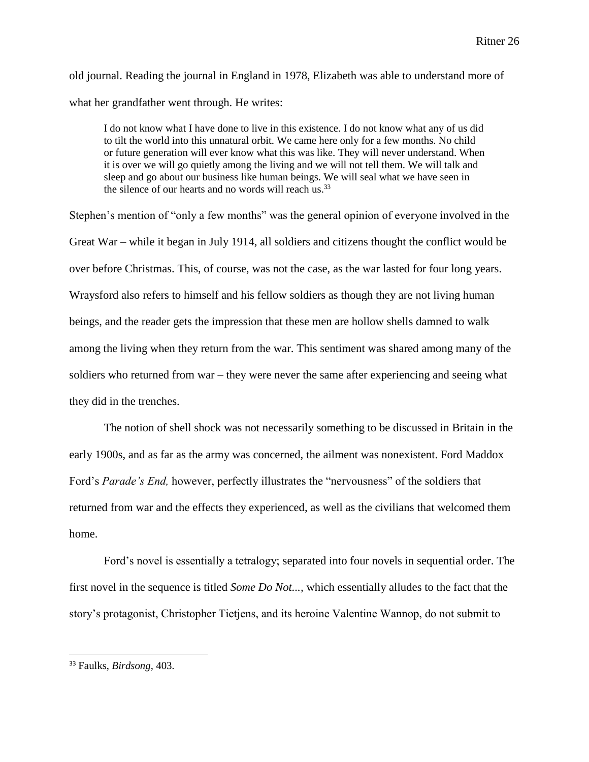old journal. Reading the journal in England in 1978, Elizabeth was able to understand more of what her grandfather went through. He writes:

I do not know what I have done to live in this existence. I do not know what any of us did to tilt the world into this unnatural orbit. We came here only for a few months. No child or future generation will ever know what this was like. They will never understand. When it is over we will go quietly among the living and we will not tell them. We will talk and sleep and go about our business like human beings. We will seal what we have seen in the silence of our hearts and no words will reach us.<sup>33</sup>

Stephen's mention of "only a few months" was the general opinion of everyone involved in the Great War – while it began in July 1914, all soldiers and citizens thought the conflict would be over before Christmas. This, of course, was not the case, as the war lasted for four long years. Wraysford also refers to himself and his fellow soldiers as though they are not living human beings, and the reader gets the impression that these men are hollow shells damned to walk among the living when they return from the war. This sentiment was shared among many of the soldiers who returned from war – they were never the same after experiencing and seeing what they did in the trenches.

The notion of shell shock was not necessarily something to be discussed in Britain in the early 1900s, and as far as the army was concerned, the ailment was nonexistent. Ford Maddox Ford's *Parade's End,* however, perfectly illustrates the "nervousness" of the soldiers that returned from war and the effects they experienced, as well as the civilians that welcomed them home.

Ford's novel is essentially a tetralogy; separated into four novels in sequential order. The first novel in the sequence is titled *Some Do Not...,* which essentially alludes to the fact that the story's protagonist, Christopher Tietjens, and its heroine Valentine Wannop, do not submit to

<sup>33</sup> Faulks, *Birdsong,* 403.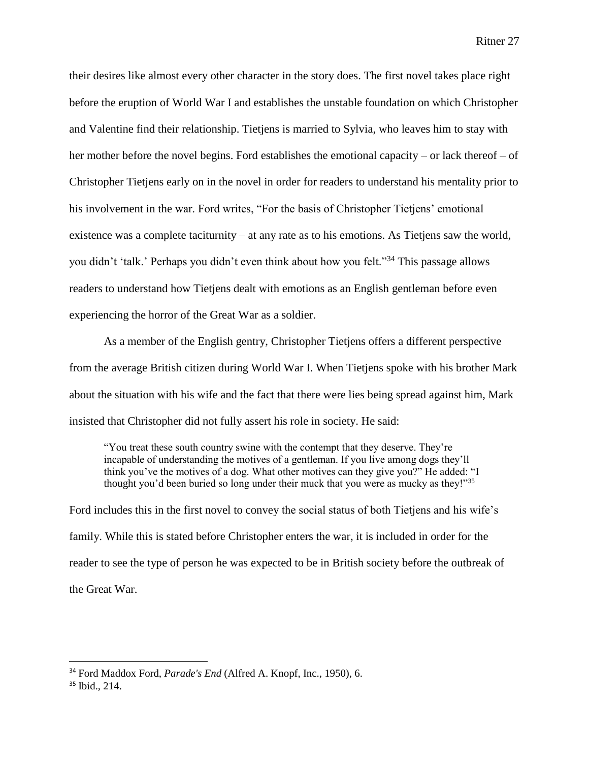their desires like almost every other character in the story does. The first novel takes place right before the eruption of World War I and establishes the unstable foundation on which Christopher and Valentine find their relationship. Tietjens is married to Sylvia, who leaves him to stay with her mother before the novel begins. Ford establishes the emotional capacity – or lack thereof – of Christopher Tietjens early on in the novel in order for readers to understand his mentality prior to his involvement in the war. Ford writes, "For the basis of Christopher Tietjens' emotional existence was a complete taciturnity – at any rate as to his emotions. As Tietjens saw the world, you didn't 'talk.' Perhaps you didn't even think about how you felt."<sup>34</sup> This passage allows readers to understand how Tietjens dealt with emotions as an English gentleman before even experiencing the horror of the Great War as a soldier.

As a member of the English gentry, Christopher Tietjens offers a different perspective from the average British citizen during World War I. When Tietjens spoke with his brother Mark about the situation with his wife and the fact that there were lies being spread against him, Mark insisted that Christopher did not fully assert his role in society. He said:

"You treat these south country swine with the contempt that they deserve. They're incapable of understanding the motives of a gentleman. If you live among dogs they'll think you've the motives of a dog. What other motives can they give you?" He added: "I thought you'd been buried so long under their muck that you were as mucky as they!"<sup>35</sup>

Ford includes this in the first novel to convey the social status of both Tietjens and his wife's family. While this is stated before Christopher enters the war, it is included in order for the reader to see the type of person he was expected to be in British society before the outbreak of the Great War.

<sup>34</sup> Ford Maddox Ford, *Parade's End* (Alfred A. Knopf, Inc., 1950), 6.

<sup>35</sup> Ibid., 214.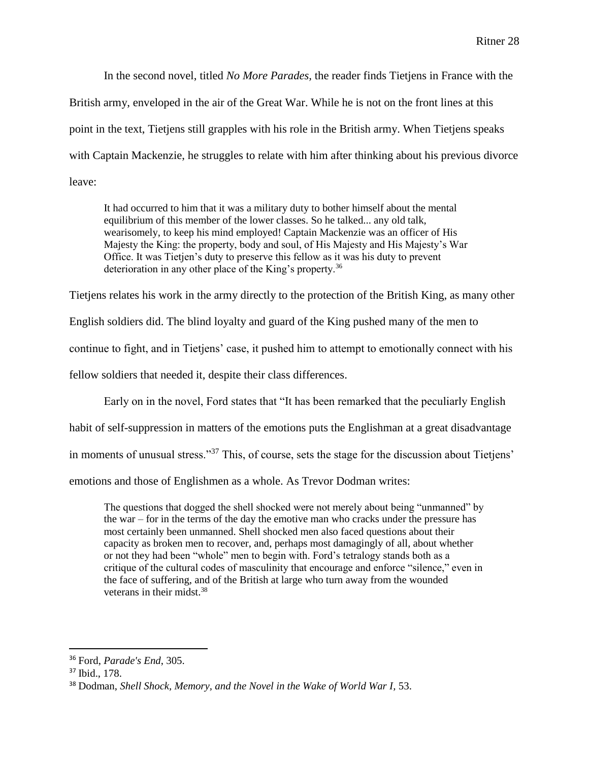In the second novel, titled *No More Parades,* the reader finds Tietjens in France with the British army, enveloped in the air of the Great War. While he is not on the front lines at this point in the text, Tietjens still grapples with his role in the British army. When Tietjens speaks with Captain Mackenzie, he struggles to relate with him after thinking about his previous divorce leave:

It had occurred to him that it was a military duty to bother himself about the mental equilibrium of this member of the lower classes. So he talked... any old talk, wearisomely, to keep his mind employed! Captain Mackenzie was an officer of His Majesty the King: the property, body and soul, of His Majesty and His Majesty's War Office. It was Tietjen's duty to preserve this fellow as it was his duty to prevent deterioration in any other place of the King's property.<sup>36</sup>

Tietjens relates his work in the army directly to the protection of the British King, as many other

English soldiers did. The blind loyalty and guard of the King pushed many of the men to

continue to fight, and in Tietjens' case, it pushed him to attempt to emotionally connect with his

fellow soldiers that needed it, despite their class differences.

Early on in the novel, Ford states that "It has been remarked that the peculiarly English

habit of self-suppression in matters of the emotions puts the Englishman at a great disadvantage

in moments of unusual stress."<sup>37</sup> This, of course, sets the stage for the discussion about Tietjens'

emotions and those of Englishmen as a whole. As Trevor Dodman writes:

The questions that dogged the shell shocked were not merely about being "unmanned" by the war – for in the terms of the day the emotive man who cracks under the pressure has most certainly been unmanned. Shell shocked men also faced questions about their capacity as broken men to recover, and, perhaps most damagingly of all, about whether or not they had been "whole" men to begin with. Ford's tetralogy stands both as a critique of the cultural codes of masculinity that encourage and enforce "silence," even in the face of suffering, and of the British at large who turn away from the wounded veterans in their midst.<sup>38</sup>

<sup>36</sup> Ford, *Parade's End*, 305.

<sup>37</sup> Ibid., 178.

<sup>38</sup> Dodman, *Shell Shock, Memory, and the Novel in the Wake of World War I,* 53.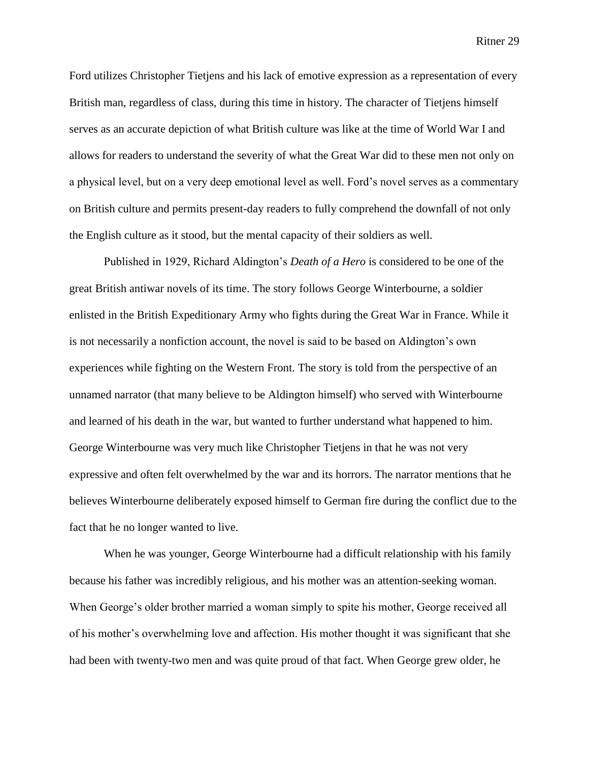Ford utilizes Christopher Tietjens and his lack of emotive expression as a representation of every British man, regardless of class, during this time in history. The character of Tietjens himself serves as an accurate depiction of what British culture was like at the time of World War I and allows for readers to understand the severity of what the Great War did to these men not only on a physical level, but on a very deep emotional level as well. Ford's novel serves as a commentary on British culture and permits present-day readers to fully comprehend the downfall of not only the English culture as it stood, but the mental capacity of their soldiers as well.

Published in 1929, Richard Aldington's *Death of a Hero* is considered to be one of the great British antiwar novels of its time. The story follows George Winterbourne, a soldier enlisted in the British Expeditionary Army who fights during the Great War in France. While it is not necessarily a nonfiction account, the novel is said to be based on Aldington's own experiences while fighting on the Western Front. The story is told from the perspective of an unnamed narrator (that many believe to be Aldington himself) who served with Winterbourne and learned of his death in the war, but wanted to further understand what happened to him. George Winterbourne was very much like Christopher Tietjens in that he was not very expressive and often felt overwhelmed by the war and its horrors. The narrator mentions that he believes Winterbourne deliberately exposed himself to German fire during the conflict due to the fact that he no longer wanted to live.

When he was younger, George Winterbourne had a difficult relationship with his family because his father was incredibly religious, and his mother was an attention-seeking woman. When George's older brother married a woman simply to spite his mother, George received all of his mother's overwhelming love and affection. His mother thought it was significant that she had been with twenty-two men and was quite proud of that fact. When George grew older, he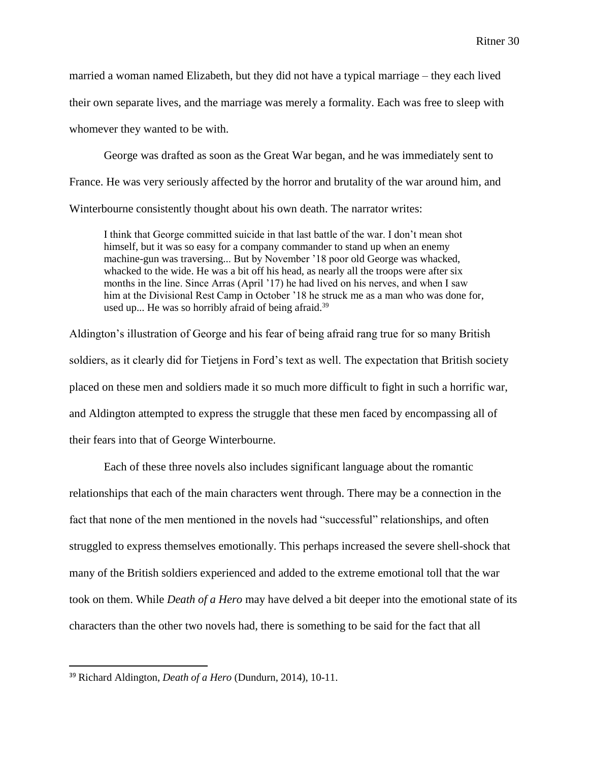married a woman named Elizabeth, but they did not have a typical marriage – they each lived their own separate lives, and the marriage was merely a formality. Each was free to sleep with whomever they wanted to be with.

George was drafted as soon as the Great War began, and he was immediately sent to France. He was very seriously affected by the horror and brutality of the war around him, and Winterbourne consistently thought about his own death. The narrator writes:

I think that George committed suicide in that last battle of the war. I don't mean shot himself, but it was so easy for a company commander to stand up when an enemy machine-gun was traversing... But by November '18 poor old George was whacked, whacked to the wide. He was a bit off his head, as nearly all the troops were after six months in the line. Since Arras (April '17) he had lived on his nerves, and when I saw him at the Divisional Rest Camp in October '18 he struck me as a man who was done for, used up... He was so horribly afraid of being afraid.<sup>39</sup>

Aldington's illustration of George and his fear of being afraid rang true for so many British soldiers, as it clearly did for Tietjens in Ford's text as well. The expectation that British society placed on these men and soldiers made it so much more difficult to fight in such a horrific war, and Aldington attempted to express the struggle that these men faced by encompassing all of their fears into that of George Winterbourne.

Each of these three novels also includes significant language about the romantic relationships that each of the main characters went through. There may be a connection in the fact that none of the men mentioned in the novels had "successful" relationships, and often struggled to express themselves emotionally. This perhaps increased the severe shell-shock that many of the British soldiers experienced and added to the extreme emotional toll that the war took on them. While *Death of a Hero* may have delved a bit deeper into the emotional state of its characters than the other two novels had, there is something to be said for the fact that all

<sup>39</sup> Richard Aldington, *Death of a Hero* (Dundurn, 2014), 10-11.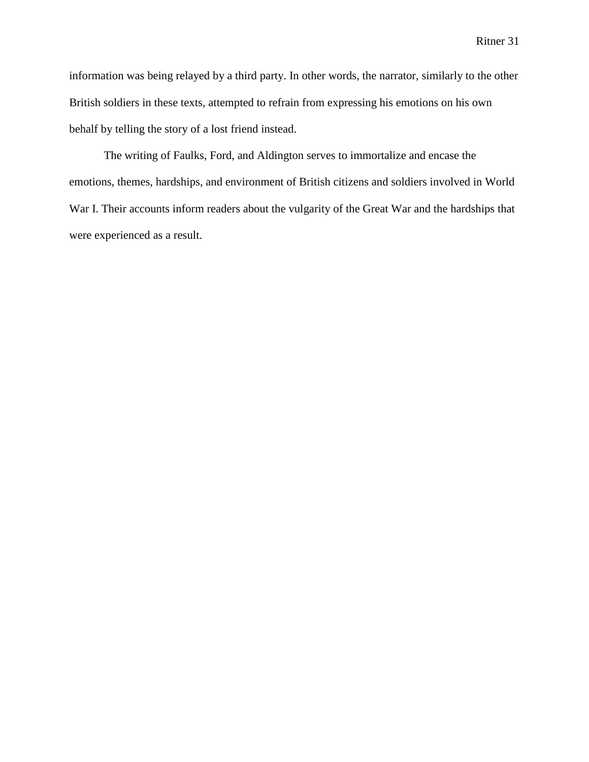information was being relayed by a third party. In other words, the narrator, similarly to the other British soldiers in these texts, attempted to refrain from expressing his emotions on his own behalf by telling the story of a lost friend instead.

The writing of Faulks, Ford, and Aldington serves to immortalize and encase the emotions, themes, hardships, and environment of British citizens and soldiers involved in World War I. Their accounts inform readers about the vulgarity of the Great War and the hardships that were experienced as a result.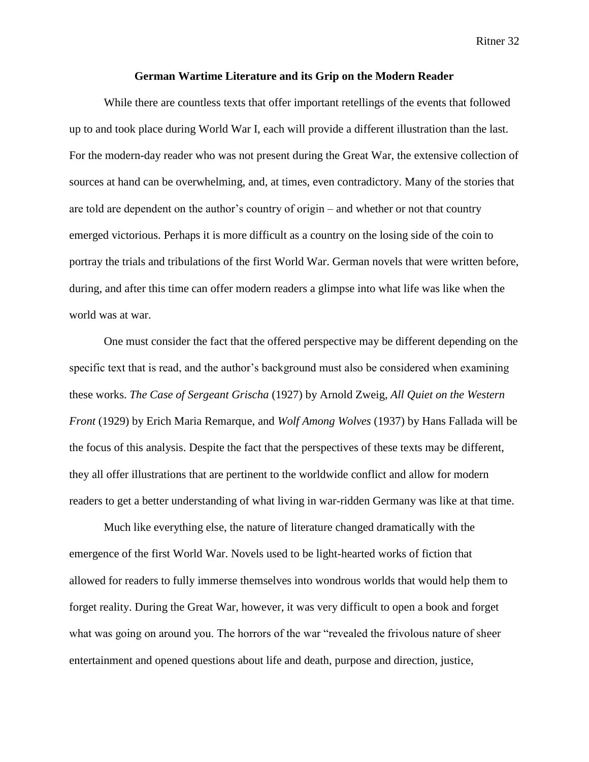#### **German Wartime Literature and its Grip on the Modern Reader**

While there are countless texts that offer important retellings of the events that followed up to and took place during World War I, each will provide a different illustration than the last. For the modern-day reader who was not present during the Great War, the extensive collection of sources at hand can be overwhelming, and, at times, even contradictory. Many of the stories that are told are dependent on the author's country of origin – and whether or not that country emerged victorious. Perhaps it is more difficult as a country on the losing side of the coin to portray the trials and tribulations of the first World War. German novels that were written before, during, and after this time can offer modern readers a glimpse into what life was like when the world was at war.

One must consider the fact that the offered perspective may be different depending on the specific text that is read, and the author's background must also be considered when examining these works. *The Case of Sergeant Grischa* (1927) by Arnold Zweig, *All Quiet on the Western Front* (1929) by Erich Maria Remarque, and *Wolf Among Wolves* (1937) by Hans Fallada will be the focus of this analysis. Despite the fact that the perspectives of these texts may be different, they all offer illustrations that are pertinent to the worldwide conflict and allow for modern readers to get a better understanding of what living in war-ridden Germany was like at that time.

Much like everything else, the nature of literature changed dramatically with the emergence of the first World War. Novels used to be light-hearted works of fiction that allowed for readers to fully immerse themselves into wondrous worlds that would help them to forget reality. During the Great War, however, it was very difficult to open a book and forget what was going on around you. The horrors of the war "revealed the frivolous nature of sheer entertainment and opened questions about life and death, purpose and direction, justice,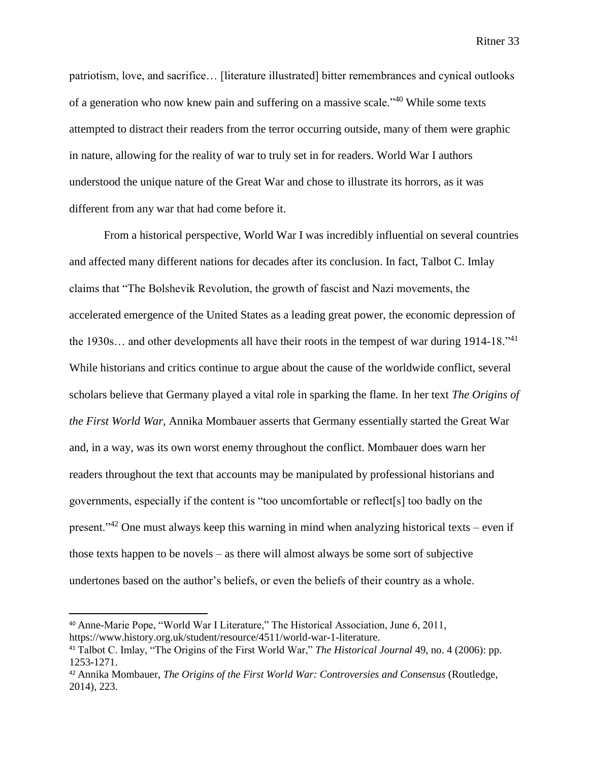patriotism, love, and sacrifice… [literature illustrated] bitter remembrances and cynical outlooks of a generation who now knew pain and suffering on a massive scale."<sup>40</sup> While some texts attempted to distract their readers from the terror occurring outside, many of them were graphic in nature, allowing for the reality of war to truly set in for readers. World War I authors understood the unique nature of the Great War and chose to illustrate its horrors, as it was different from any war that had come before it.

From a historical perspective, World War I was incredibly influential on several countries and affected many different nations for decades after its conclusion. In fact, Talbot C. Imlay claims that "The Bolshevik Revolution, the growth of fascist and Nazi movements, the accelerated emergence of the United States as a leading great power, the economic depression of the 1930s… and other developments all have their roots in the tempest of war during 1914-18."<sup>41</sup> While historians and critics continue to argue about the cause of the worldwide conflict, several scholars believe that Germany played a vital role in sparking the flame. In her text *The Origins of the First World War,* Annika Mombauer asserts that Germany essentially started the Great War and, in a way, was its own worst enemy throughout the conflict. Mombauer does warn her readers throughout the text that accounts may be manipulated by professional historians and governments, especially if the content is "too uncomfortable or reflect[s] too badly on the present."<sup>42</sup> One must always keep this warning in mind when analyzing historical texts – even if those texts happen to be novels – as there will almost always be some sort of subjective undertones based on the author's beliefs, or even the beliefs of their country as a whole.

<sup>40</sup> Anne-Marie Pope, "World War I Literature," The Historical Association, June 6, 2011, https://www.history.org.uk/student/resource/4511/world-war-1-literature.

<sup>41</sup> Talbot C. Imlay, "The Origins of the First World War," *The Historical Journal* 49, no. 4 (2006): pp. 1253-1271.

<sup>42</sup> Annika Mombauer, *The Origins of the First World War: Controversies and Consensus* (Routledge, 2014), 223.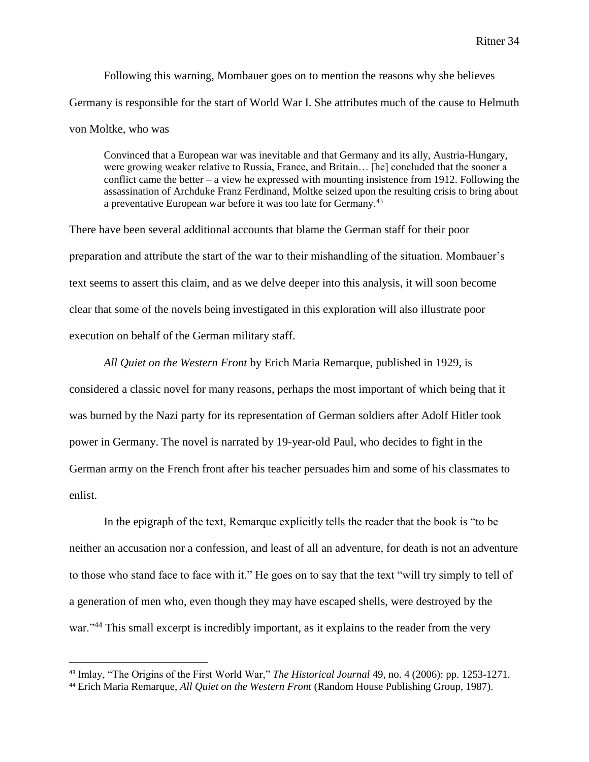Following this warning, Mombauer goes on to mention the reasons why she believes Germany is responsible for the start of World War I. She attributes much of the cause to Helmuth von Moltke, who was

Convinced that a European war was inevitable and that Germany and its ally, Austria-Hungary, were growing weaker relative to Russia, France, and Britain… [he] concluded that the sooner a conflict came the better – a view he expressed with mounting insistence from 1912. Following the assassination of Archduke Franz Ferdinand, Moltke seized upon the resulting crisis to bring about a preventative European war before it was too late for Germany.<sup>43</sup>

There have been several additional accounts that blame the German staff for their poor preparation and attribute the start of the war to their mishandling of the situation. Mombauer's text seems to assert this claim, and as we delve deeper into this analysis, it will soon become clear that some of the novels being investigated in this exploration will also illustrate poor execution on behalf of the German military staff.

*All Quiet on the Western Front* by Erich Maria Remarque, published in 1929, is considered a classic novel for many reasons, perhaps the most important of which being that it was burned by the Nazi party for its representation of German soldiers after Adolf Hitler took power in Germany. The novel is narrated by 19-year-old Paul, who decides to fight in the German army on the French front after his teacher persuades him and some of his classmates to enlist.

In the epigraph of the text, Remarque explicitly tells the reader that the book is "to be neither an accusation nor a confession, and least of all an adventure, for death is not an adventure to those who stand face to face with it." He goes on to say that the text "will try simply to tell of a generation of men who, even though they may have escaped shells, were destroyed by the war."<sup>44</sup> This small excerpt is incredibly important, as it explains to the reader from the very

 $\overline{a}$ 

<sup>43</sup> Imlay, "The Origins of the First World War," *The Historical Journal* 49, no. 4 (2006): pp. 1253-1271.

<sup>44</sup> Erich Maria Remarque, *All Quiet on the Western Front* (Random House Publishing Group, 1987).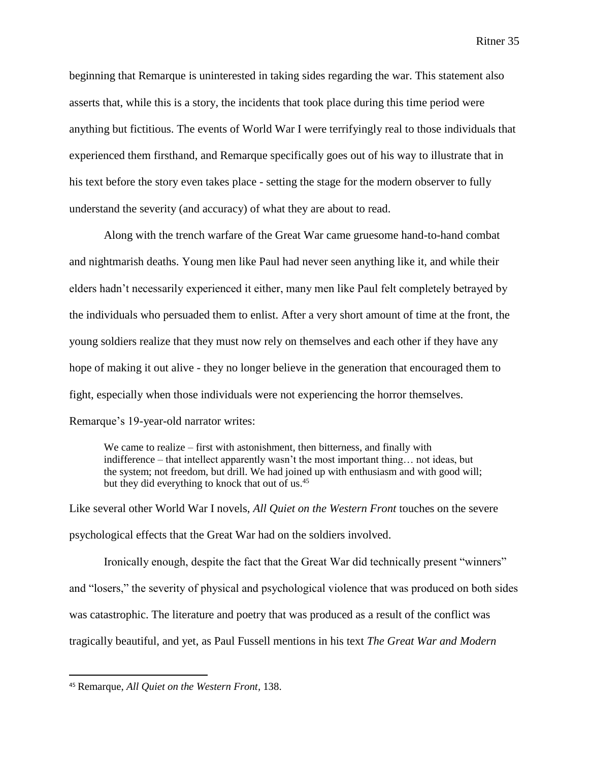beginning that Remarque is uninterested in taking sides regarding the war. This statement also asserts that, while this is a story, the incidents that took place during this time period were anything but fictitious. The events of World War I were terrifyingly real to those individuals that experienced them firsthand, and Remarque specifically goes out of his way to illustrate that in his text before the story even takes place - setting the stage for the modern observer to fully understand the severity (and accuracy) of what they are about to read.

Along with the trench warfare of the Great War came gruesome hand-to-hand combat and nightmarish deaths. Young men like Paul had never seen anything like it, and while their elders hadn't necessarily experienced it either, many men like Paul felt completely betrayed by the individuals who persuaded them to enlist. After a very short amount of time at the front, the young soldiers realize that they must now rely on themselves and each other if they have any hope of making it out alive - they no longer believe in the generation that encouraged them to fight, especially when those individuals were not experiencing the horror themselves. Remarque's 19-year-old narrator writes:

We came to realize – first with astonishment, then bitterness, and finally with indifference – that intellect apparently wasn't the most important thing… not ideas, but the system; not freedom, but drill. We had joined up with enthusiasm and with good will; but they did everything to knock that out of us.<sup>45</sup>

Like several other World War I novels, *All Quiet on the Western Front* touches on the severe psychological effects that the Great War had on the soldiers involved.

Ironically enough, despite the fact that the Great War did technically present "winners" and "losers," the severity of physical and psychological violence that was produced on both sides was catastrophic. The literature and poetry that was produced as a result of the conflict was tragically beautiful, and yet, as Paul Fussell mentions in his text *The Great War and Modern* 

<sup>45</sup> Remarque, *All Quiet on the Western Front,* 138.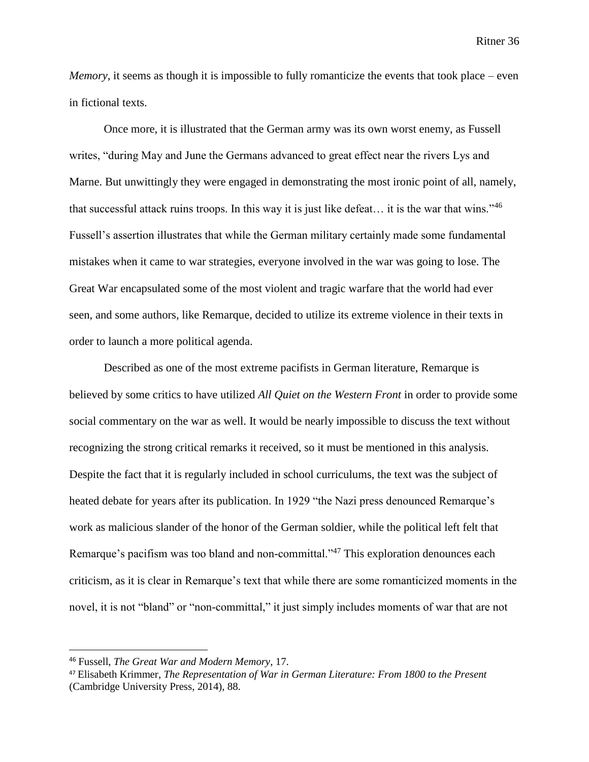*Memory*, it seems as though it is impossible to fully romanticize the events that took place – even in fictional texts.

Once more, it is illustrated that the German army was its own worst enemy, as Fussell writes, "during May and June the Germans advanced to great effect near the rivers Lys and Marne. But unwittingly they were engaged in demonstrating the most ironic point of all, namely, that successful attack ruins troops. In this way it is just like defeat… it is the war that wins."<sup>46</sup> Fussell's assertion illustrates that while the German military certainly made some fundamental mistakes when it came to war strategies, everyone involved in the war was going to lose. The Great War encapsulated some of the most violent and tragic warfare that the world had ever seen, and some authors, like Remarque, decided to utilize its extreme violence in their texts in order to launch a more political agenda.

Described as one of the most extreme pacifists in German literature, Remarque is believed by some critics to have utilized *All Quiet on the Western Front* in order to provide some social commentary on the war as well. It would be nearly impossible to discuss the text without recognizing the strong critical remarks it received, so it must be mentioned in this analysis. Despite the fact that it is regularly included in school curriculums, the text was the subject of heated debate for years after its publication. In 1929 "the Nazi press denounced Remarque's work as malicious slander of the honor of the German soldier, while the political left felt that Remarque's pacifism was too bland and non-committal."<sup>47</sup> This exploration denounces each criticism, as it is clear in Remarque's text that while there are some romanticized moments in the novel, it is not "bland" or "non-committal," it just simply includes moments of war that are not

l

<sup>46</sup> Fussell, *The Great War and Modern Memory*, 17.

<sup>47</sup> Elisabeth Krimmer, *The Representation of War in German Literature: From 1800 to the Present*  (Cambridge University Press, 2014), 88.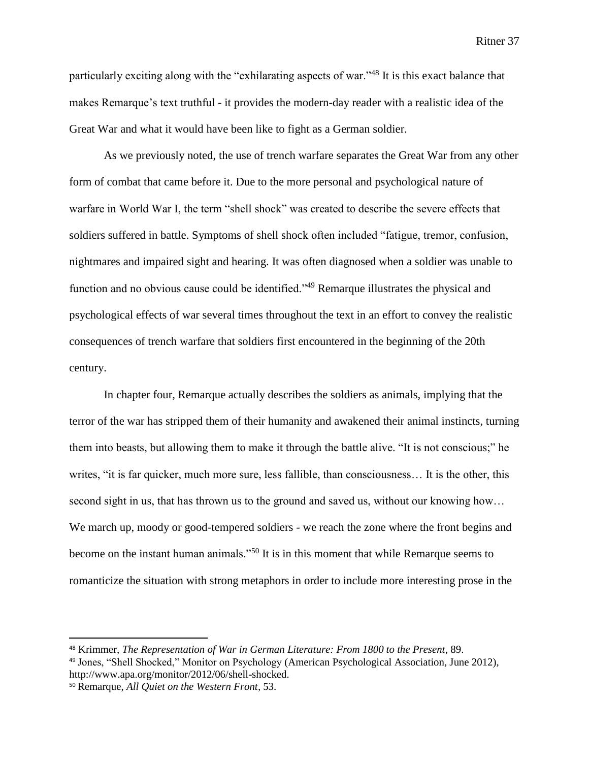particularly exciting along with the "exhilarating aspects of war."<sup>48</sup> It is this exact balance that makes Remarque's text truthful - it provides the modern-day reader with a realistic idea of the Great War and what it would have been like to fight as a German soldier.

As we previously noted, the use of trench warfare separates the Great War from any other form of combat that came before it. Due to the more personal and psychological nature of warfare in World War I, the term "shell shock" was created to describe the severe effects that soldiers suffered in battle. Symptoms of shell shock often included "fatigue, tremor, confusion, nightmares and impaired sight and hearing. It was often diagnosed when a soldier was unable to function and no obvious cause could be identified."<sup>49</sup> Remarque illustrates the physical and psychological effects of war several times throughout the text in an effort to convey the realistic consequences of trench warfare that soldiers first encountered in the beginning of the 20th century.

In chapter four, Remarque actually describes the soldiers as animals, implying that the terror of the war has stripped them of their humanity and awakened their animal instincts, turning them into beasts, but allowing them to make it through the battle alive. "It is not conscious;" he writes, "it is far quicker, much more sure, less fallible, than consciousness… It is the other, this second sight in us, that has thrown us to the ground and saved us, without our knowing how... We march up, moody or good-tempered soldiers - we reach the zone where the front begins and become on the instant human animals."<sup>50</sup> It is in this moment that while Remarque seems to romanticize the situation with strong metaphors in order to include more interesting prose in the

 $\overline{a}$ 

<sup>48</sup> Krimmer, *The Representation of War in German Literature: From 1800 to the Present*, 89.

<sup>49</sup> Jones, "Shell Shocked," Monitor on Psychology (American Psychological Association, June 2012), http://www.apa.org/monitor/2012/06/shell-shocked.

<sup>50</sup> Remarque, *All Quiet on the Western Front,* 53.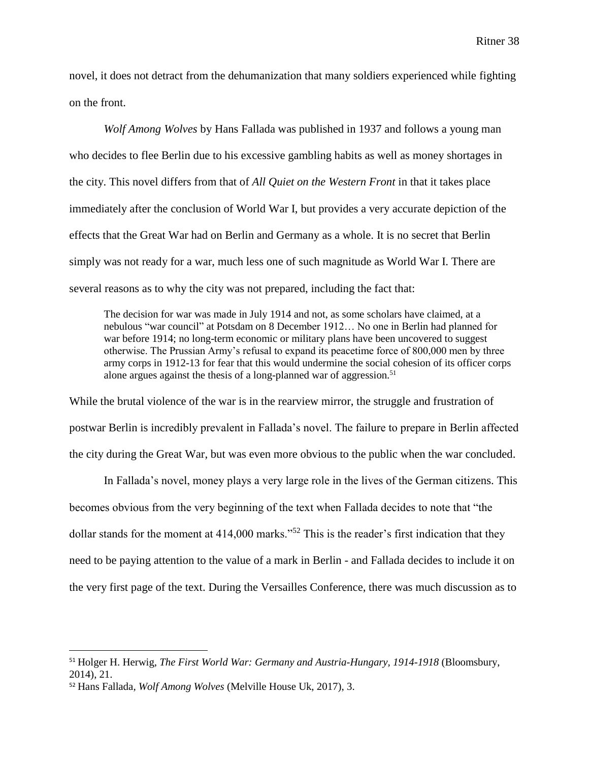novel, it does not detract from the dehumanization that many soldiers experienced while fighting on the front.

*Wolf Among Wolves* by Hans Fallada was published in 1937 and follows a young man who decides to flee Berlin due to his excessive gambling habits as well as money shortages in the city. This novel differs from that of *All Quiet on the Western Front* in that it takes place immediately after the conclusion of World War I, but provides a very accurate depiction of the effects that the Great War had on Berlin and Germany as a whole. It is no secret that Berlin simply was not ready for a war, much less one of such magnitude as World War I. There are several reasons as to why the city was not prepared, including the fact that:

The decision for war was made in July 1914 and not, as some scholars have claimed, at a nebulous "war council" at Potsdam on 8 December 1912… No one in Berlin had planned for war before 1914; no long-term economic or military plans have been uncovered to suggest otherwise. The Prussian Army's refusal to expand its peacetime force of 800,000 men by three army corps in 1912-13 for fear that this would undermine the social cohesion of its officer corps alone argues against the thesis of a long-planned war of aggression.<sup>51</sup>

While the brutal violence of the war is in the rearview mirror, the struggle and frustration of postwar Berlin is incredibly prevalent in Fallada's novel. The failure to prepare in Berlin affected the city during the Great War, but was even more obvious to the public when the war concluded.

In Fallada's novel, money plays a very large role in the lives of the German citizens. This becomes obvious from the very beginning of the text when Fallada decides to note that "the dollar stands for the moment at 414,000 marks."<sup>52</sup> This is the reader's first indication that they need to be paying attention to the value of a mark in Berlin - and Fallada decides to include it on the very first page of the text. During the Versailles Conference, there was much discussion as to

<sup>51</sup> Holger H. Herwig, *The First World War: Germany and Austria-Hungary, 1914-1918* (Bloomsbury, 2014), 21.

<sup>52</sup> Hans Fallada, *Wolf Among Wolves* (Melville House Uk, 2017), 3.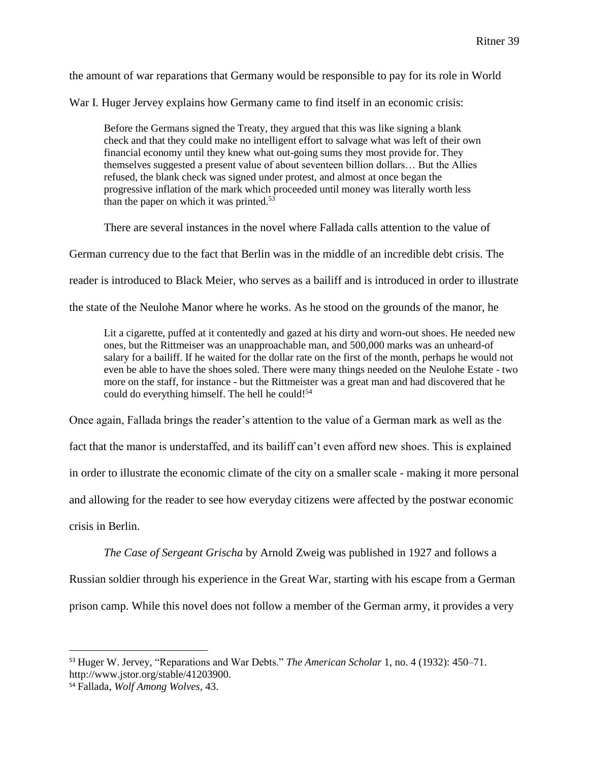the amount of war reparations that Germany would be responsible to pay for its role in World

War I. Huger Jervey explains how Germany came to find itself in an economic crisis:

Before the Germans signed the Treaty, they argued that this was like signing a blank check and that they could make no intelligent effort to salvage what was left of their own financial economy until they knew what out-going sums they most provide for. They themselves suggested a present value of about seventeen billion dollars… But the Allies refused, the blank check was signed under protest, and almost at once began the progressive inflation of the mark which proceeded until money was literally worth less than the paper on which it was printed. $53$ 

There are several instances in the novel where Fallada calls attention to the value of

German currency due to the fact that Berlin was in the middle of an incredible debt crisis. The

reader is introduced to Black Meier, who serves as a bailiff and is introduced in order to illustrate

the state of the Neulohe Manor where he works. As he stood on the grounds of the manor, he

Lit a cigarette, puffed at it contentedly and gazed at his dirty and worn-out shoes. He needed new ones, but the Rittmeiser was an unapproachable man, and 500,000 marks was an unheard-of salary for a bailiff. If he waited for the dollar rate on the first of the month, perhaps he would not even be able to have the shoes soled. There were many things needed on the Neulohe Estate - two more on the staff, for instance - but the Rittmeister was a great man and had discovered that he could do everything himself. The hell he could!<sup>54</sup>

Once again, Fallada brings the reader's attention to the value of a German mark as well as the

fact that the manor is understaffed, and its bailiff can't even afford new shoes. This is explained

in order to illustrate the economic climate of the city on a smaller scale - making it more personal

and allowing for the reader to see how everyday citizens were affected by the postwar economic

crisis in Berlin.

*The Case of Sergeant Grischa* by Arnold Zweig was published in 1927 and follows a Russian soldier through his experience in the Great War, starting with his escape from a German prison camp. While this novel does not follow a member of the German army, it provides a very

 $\overline{\phantom{a}}$ <sup>53</sup> Huger W. Jervey, "Reparations and War Debts." *The American Scholar* 1, no. 4 (1932): 450–71. http://www.jstor.org/stable/41203900.

<sup>54</sup> Fallada, *Wolf Among Wolves,* 43.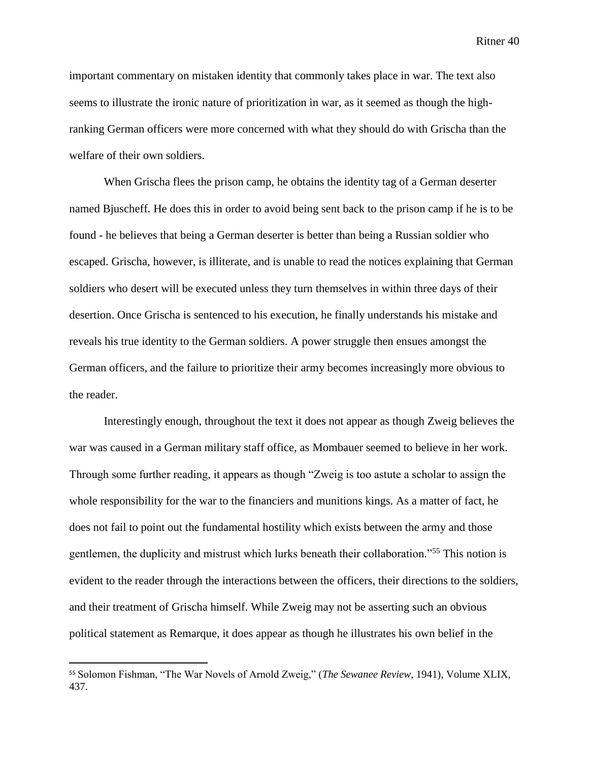important commentary on mistaken identity that commonly takes place in war. The text also seems to illustrate the ironic nature of prioritization in war, as it seemed as though the highranking German officers were more concerned with what they should do with Grischa than the welfare of their own soldiers.

When Grischa flees the prison camp, he obtains the identity tag of a German deserter named Bjuscheff. He does this in order to avoid being sent back to the prison camp if he is to be found - he believes that being a German deserter is better than being a Russian soldier who escaped. Grischa, however, is illiterate, and is unable to read the notices explaining that German soldiers who desert will be executed unless they turn themselves in within three days of their desertion. Once Grischa is sentenced to his execution, he finally understands his mistake and reveals his true identity to the German soldiers. A power struggle then ensues amongst the German officers, and the failure to prioritize their army becomes increasingly more obvious to the reader.

Interestingly enough, throughout the text it does not appear as though Zweig believes the war was caused in a German military staff office, as Mombauer seemed to believe in her work. Through some further reading, it appears as though "Zweig is too astute a scholar to assign the whole responsibility for the war to the financiers and munitions kings. As a matter of fact, he does not fail to point out the fundamental hostility which exists between the army and those gentlemen, the duplicity and mistrust which lurks beneath their collaboration."<sup>55</sup> This notion is evident to the reader through the interactions between the officers, their directions to the soldiers, and their treatment of Grischa himself. While Zweig may not be asserting such an obvious political statement as Remarque, it does appear as though he illustrates his own belief in the

 $\overline{a}$ 

<sup>55</sup> Solomon Fishman, "The War Novels of Arnold Zweig," (*The Sewanee Review,* 1941), Volume XLIX, 437.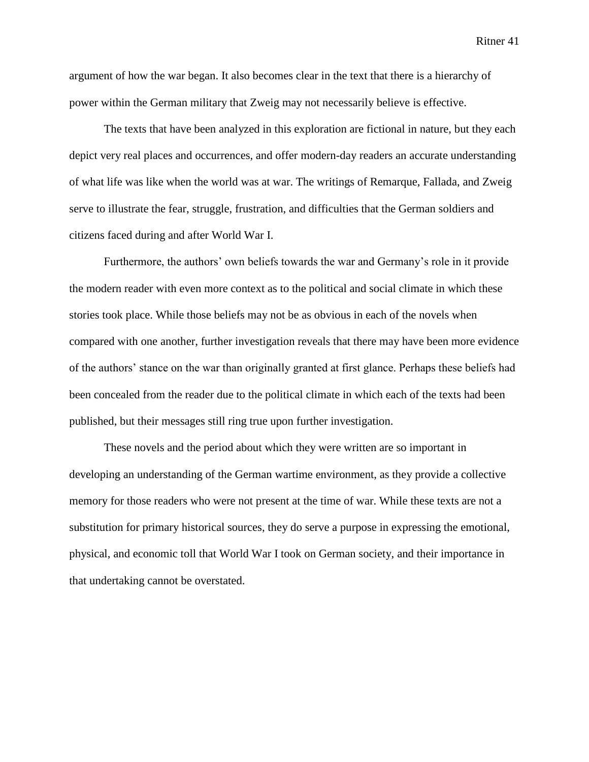argument of how the war began. It also becomes clear in the text that there is a hierarchy of power within the German military that Zweig may not necessarily believe is effective.

The texts that have been analyzed in this exploration are fictional in nature, but they each depict very real places and occurrences, and offer modern-day readers an accurate understanding of what life was like when the world was at war. The writings of Remarque, Fallada, and Zweig serve to illustrate the fear, struggle, frustration, and difficulties that the German soldiers and citizens faced during and after World War I.

Furthermore, the authors' own beliefs towards the war and Germany's role in it provide the modern reader with even more context as to the political and social climate in which these stories took place. While those beliefs may not be as obvious in each of the novels when compared with one another, further investigation reveals that there may have been more evidence of the authors' stance on the war than originally granted at first glance. Perhaps these beliefs had been concealed from the reader due to the political climate in which each of the texts had been published, but their messages still ring true upon further investigation.

These novels and the period about which they were written are so important in developing an understanding of the German wartime environment, as they provide a collective memory for those readers who were not present at the time of war. While these texts are not a substitution for primary historical sources, they do serve a purpose in expressing the emotional, physical, and economic toll that World War I took on German society, and their importance in that undertaking cannot be overstated.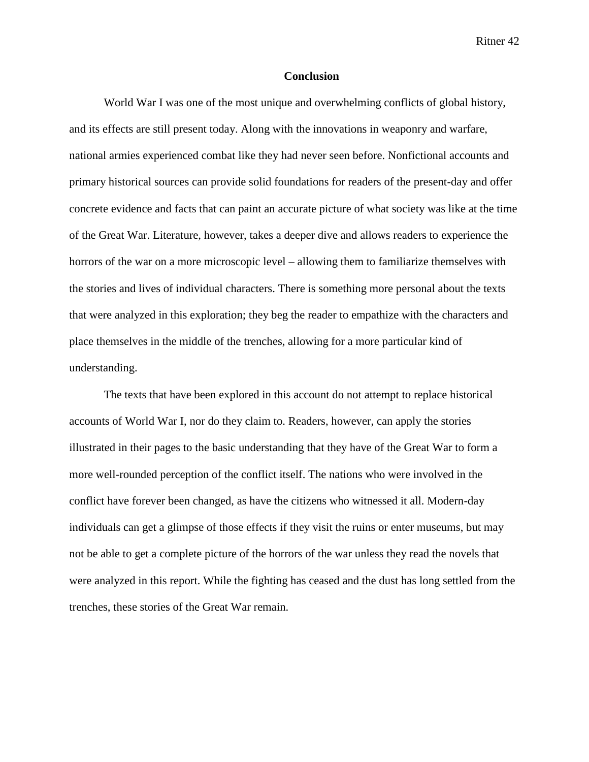#### **Conclusion**

World War I was one of the most unique and overwhelming conflicts of global history, and its effects are still present today. Along with the innovations in weaponry and warfare, national armies experienced combat like they had never seen before. Nonfictional accounts and primary historical sources can provide solid foundations for readers of the present-day and offer concrete evidence and facts that can paint an accurate picture of what society was like at the time of the Great War. Literature, however, takes a deeper dive and allows readers to experience the horrors of the war on a more microscopic level – allowing them to familiarize themselves with the stories and lives of individual characters. There is something more personal about the texts that were analyzed in this exploration; they beg the reader to empathize with the characters and place themselves in the middle of the trenches, allowing for a more particular kind of understanding.

The texts that have been explored in this account do not attempt to replace historical accounts of World War I, nor do they claim to. Readers, however, can apply the stories illustrated in their pages to the basic understanding that they have of the Great War to form a more well-rounded perception of the conflict itself. The nations who were involved in the conflict have forever been changed, as have the citizens who witnessed it all. Modern-day individuals can get a glimpse of those effects if they visit the ruins or enter museums, but may not be able to get a complete picture of the horrors of the war unless they read the novels that were analyzed in this report. While the fighting has ceased and the dust has long settled from the trenches, these stories of the Great War remain.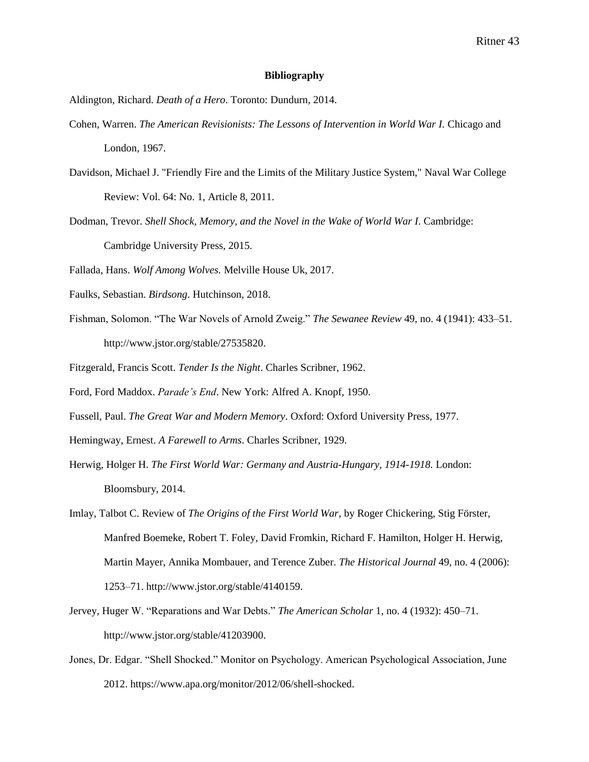#### **Bibliography**

Aldington, Richard. *Death of a Hero*. Toronto: Dundurn, 2014.

- Cohen, Warren. *The American Revisionists: The Lessons of Intervention in World War I.* Chicago and London, 1967.
- Davidson, Michael J. "Friendly Fire and the Limits of the Military Justice System," Naval War College Review: Vol. 64: No. 1, Article 8, 2011.
- Dodman, Trevor. *Shell Shock, Memory, and the Novel in the Wake of World War I*. Cambridge: Cambridge University Press, 2015.
- Fallada, Hans. *Wolf Among Wolves.* Melville House Uk, 2017.
- Faulks, Sebastian. *Birdsong*. Hutchinson, 2018.
- Fishman, Solomon. "The War Novels of Arnold Zweig." *The Sewanee Review* 49, no. 4 (1941): 433–51. http://www.jstor.org/stable/27535820.
- Fitzgerald, Francis Scott. *Tender Is the Night*. Charles Scribner, 1962.
- Ford, Ford Maddox. *Parade's End*. New York: Alfred A. Knopf, 1950.
- Fussell, Paul. *The Great War and Modern Memory*. Oxford: Oxford University Press, 1977.
- Hemingway, Ernest. *A Farewell to Arms*. Charles Scribner, 1929.
- Herwig, Holger H. *The First World War: Germany and Austria-Hungary, 1914-1918.* London: Bloomsbury, 2014.
- Imlay, Talbot C. Review of *The Origins of the First World War*, by Roger Chickering, Stig Förster, Manfred Boemeke, Robert T. Foley, David Fromkin, Richard F. Hamilton, Holger H. Herwig, Martin Mayer, Annika Mombauer, and Terence Zuber. *The Historical Journal* 49, no. 4 (2006): 1253–71. http://www.jstor.org/stable/4140159.
- Jervey, Huger W. "Reparations and War Debts." *The American Scholar* 1, no. 4 (1932): 450–71. http://www.jstor.org/stable/41203900.
- Jones, Dr. Edgar. "Shell Shocked." Monitor on Psychology. American Psychological Association, June 2012. https://www.apa.org/monitor/2012/06/shell-shocked.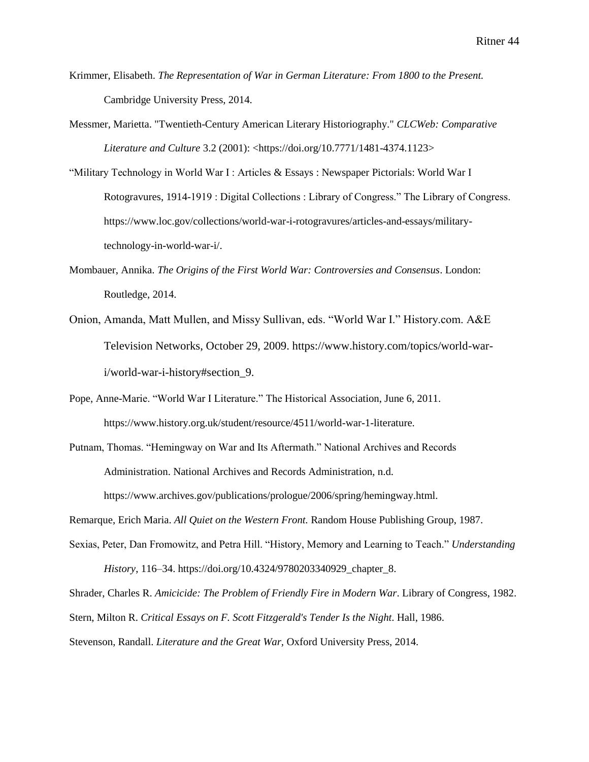- Krimmer, Elisabeth. *The Representation of War in German Literature: From 1800 to the Present.* Cambridge University Press, 2014.
- Messmer, Marietta. "Twentieth-Century American Literary Historiography." *CLCWeb: Comparative Literature and Culture* 3.2 (2001): <https://doi.org/10.7771/1481-4374.1123>
- "Military Technology in World War I : Articles & Essays : Newspaper Pictorials: World War I Rotogravures, 1914-1919 : Digital Collections : Library of Congress." The Library of Congress. https://www.loc.gov/collections/world-war-i-rotogravures/articles-and-essays/militarytechnology-in-world-war-i/.
- Mombauer, Annika. *The Origins of the First World War: Controversies and Consensus*. London: Routledge, 2014.
- Onion, Amanda, Matt Mullen, and Missy Sullivan, eds. "World War I." History.com. A&E Television Networks, October 29, 2009. https://www.history.com/topics/world-wari/world-war-i-history#section\_9.
- Pope, Anne-Marie. "World War I Literature." The Historical Association, June 6, 2011. https://www.history.org.uk/student/resource/4511/world-war-1-literature.
- Putnam, Thomas. "Hemingway on War and Its Aftermath." National Archives and Records Administration. National Archives and Records Administration, n.d. https://www.archives.gov/publications/prologue/2006/spring/hemingway.html.

Remarque, Erich Maria. *All Quiet on the Western Front.* Random House Publishing Group, 1987.

Sexias, Peter, Dan Fromowitz, and Petra Hill. "History, Memory and Learning to Teach." *Understanding History*, 116–34. https://doi.org/10.4324/9780203340929\_chapter\_8.

Shrader, Charles R. *Amicicide: The Problem of Friendly Fire in Modern War*. Library of Congress, 1982. Stern, Milton R. *Critical Essays on F. Scott Fitzgerald's Tender Is the Night*. Hall, 1986. Stevenson, Randall. *Literature and the Great War,* Oxford University Press, 2014.